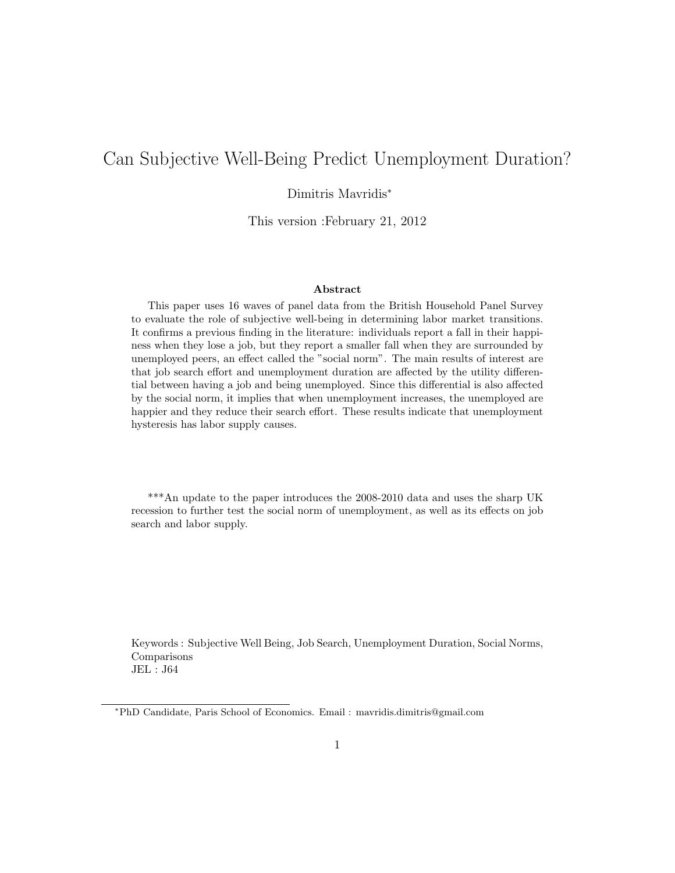# Can Subjective Well-Being Predict Unemployment Duration?

# Dimitris Mavridis<sup>∗</sup>

This version :February 21, 2012

#### Abstract

This paper uses 16 waves of panel data from the British Household Panel Survey to evaluate the role of subjective well-being in determining labor market transitions. It confirms a previous finding in the literature: individuals report a fall in their happiness when they lose a job, but they report a smaller fall when they are surrounded by unemployed peers, an effect called the "social norm". The main results of interest are that job search effort and unemployment duration are affected by the utility differential between having a job and being unemployed. Since this differential is also affected by the social norm, it implies that when unemployment increases, the unemployed are happier and they reduce their search effort. These results indicate that unemployment hysteresis has labor supply causes.

\*\*\*An update to the paper introduces the 2008-2010 data and uses the sharp UK recession to further test the social norm of unemployment, as well as its effects on job search and labor supply.

Keywords : Subjective Well Being, Job Search, Unemployment Duration, Social Norms, Comparisons JEL : J64

<sup>∗</sup>PhD Candidate, Paris School of Economics. Email : mavridis.dimitris@gmail.com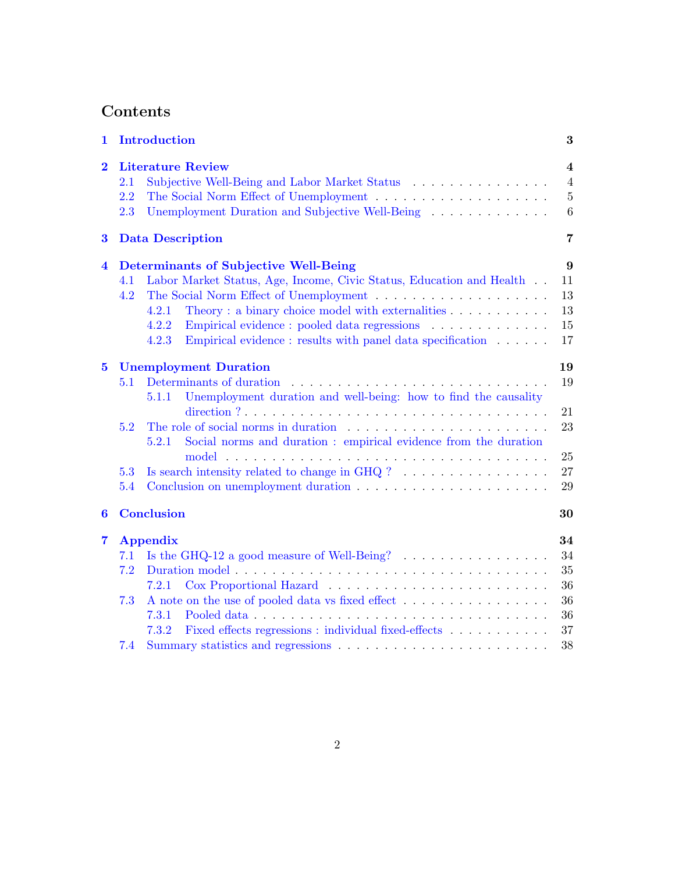# Contents

| 1                       |                          | Introduction                                                                                                                                                                                                                                                                                                               | 3                                                                |
|-------------------------|--------------------------|----------------------------------------------------------------------------------------------------------------------------------------------------------------------------------------------------------------------------------------------------------------------------------------------------------------------------|------------------------------------------------------------------|
| $\overline{2}$          | 2.1<br>2.2<br>2.3        | <b>Literature Review</b><br>Unemployment Duration and Subjective Well-Being                                                                                                                                                                                                                                                | $\overline{\mathbf{4}}$<br>$\overline{4}$<br>$\overline{5}$<br>6 |
| $\bf{3}$                |                          | <b>Data Description</b>                                                                                                                                                                                                                                                                                                    | 7                                                                |
| $\overline{\mathbf{4}}$ | 4.1<br>4.2               | Determinants of Subjective Well-Being<br>Labor Market Status, Age, Income, Civic Status, Education and Health<br>Theory: a binary choice model with externalities<br>4.2.1<br>4.2.2<br>Empirical evidence : pooled data regressions<br>Empirical evidence : results with panel data specification $\ldots \ldots$<br>4.2.3 | 9<br>11<br>13<br>13<br>15<br>17                                  |
| $\overline{5}$          | 5.1<br>5.2<br>5.3<br>5.4 | <b>Unemployment Duration</b><br>Determinants of duration<br>Unemployment duration and well-being: how to find the causality<br>5.1.1<br>Social norms and duration : empirical evidence from the duration<br>5.2.1                                                                                                          | 19<br>19<br>21<br>23<br>25<br>27<br>29                           |
| $\boldsymbol{6}$        |                          | <b>Conclusion</b>                                                                                                                                                                                                                                                                                                          | 30                                                               |
| $\overline{\mathbf{7}}$ | 7.1<br>7.2<br>7.3<br>7.4 | <b>Appendix</b><br>Is the GHQ-12 a good measure of Well-Being? $\ldots \ldots \ldots \ldots \ldots$<br>7.2.1<br>A note on the use of pooled data vs fixed effect<br>7.3.1<br>Fixed effects regressions : individual fixed-effects<br>7.3.2                                                                                 | 34<br>34<br>35<br>36<br>36<br>36<br>37<br>38                     |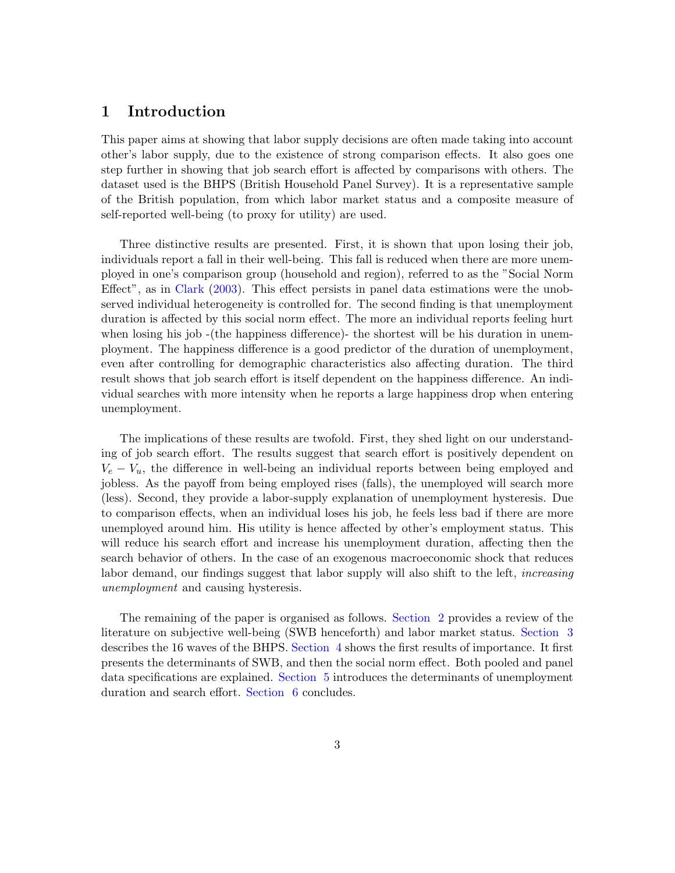# <span id="page-2-0"></span>1 Introduction

This paper aims at showing that labor supply decisions are often made taking into account other's labor supply, due to the existence of strong comparison effects. It also goes one step further in showing that job search effort is affected by comparisons with others. The dataset used is the BHPS (British Household Panel Survey). It is a representative sample of the British population, from which labor market status and a composite measure of self-reported well-being (to proxy for utility) are used.

Three distinctive results are presented. First, it is shown that upon losing their job, individuals report a fall in their well-being. This fall is reduced when there are more unemployed in one's comparison group (household and region), referred to as the "Social Norm Effect", as in [Clark](#page-30-0) [\(2003\)](#page-30-0). This effect persists in panel data estimations were the unobserved individual heterogeneity is controlled for. The second finding is that unemployment duration is affected by this social norm effect. The more an individual reports feeling hurt when losing his job -(the happiness difference)- the shortest will be his duration in unemployment. The happiness difference is a good predictor of the duration of unemployment, even after controlling for demographic characteristics also affecting duration. The third result shows that job search effort is itself dependent on the happiness difference. An individual searches with more intensity when he reports a large happiness drop when entering unemployment.

The implications of these results are twofold. First, they shed light on our understanding of job search effort. The results suggest that search effort is positively dependent on  $V_e - V_u$ , the difference in well-being an individual reports between being employed and jobless. As the payoff from being employed rises (falls), the unemployed will search more (less). Second, they provide a labor-supply explanation of unemployment hysteresis. Due to comparison effects, when an individual loses his job, he feels less bad if there are more unemployed around him. His utility is hence affected by other's employment status. This will reduce his search effort and increase his unemployment duration, affecting then the search behavior of others. In the case of an exogenous macroeconomic shock that reduces labor demand, our findings suggest that labor supply will also shift to the left, *increasing* unemployment and causing hysteresis.

The remaining of the paper is organised as follows. [Section](#page-3-0) [2](#page-3-0) provides a review of the literature on subjective well-being (SWB henceforth) and labor market status. [Section](#page-6-0) [3](#page-6-0) describes the 16 waves of the BHPS. [Section](#page-8-0) [4](#page-8-0) shows the first results of importance. It first presents the determinants of SWB, and then the social norm effect. Both pooled and panel data specifications are explained. [Section](#page-18-0) [5](#page-18-0) introduces the determinants of unemployment duration and search effort. [Section](#page-29-0) [6](#page-29-0) concludes.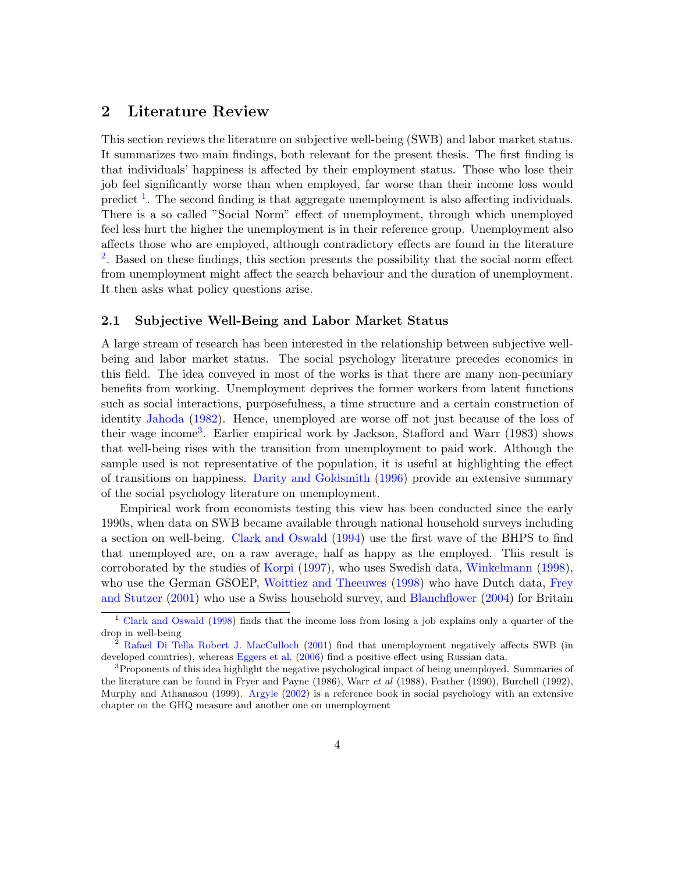# <span id="page-3-0"></span>2 Literature Review

This section reviews the literature on subjective well-being (SWB) and labor market status. It summarizes two main findings, both relevant for the present thesis. The first finding is that individuals' happiness is affected by their employment status. Those who lose their job feel significantly worse than when employed, far worse than their income loss would predict  $<sup>1</sup>$  $<sup>1</sup>$  $<sup>1</sup>$ . The second finding is that aggregate unemployment is also affecting individuals.</sup> There is a so called "Social Norm" effect of unemployment, through which unemployed feel less hurt the higher the unemployment is in their reference group. Unemployment also affects those who are employed, although contradictory effects are found in the literature <sup>[2](#page-3-3)</sup>. Based on these findings, this section presents the possibility that the social norm effect from unemployment might affect the search behaviour and the duration of unemployment. It then asks what policy questions arise.

### <span id="page-3-1"></span>2.1 Subjective Well-Being and Labor Market Status

A large stream of research has been interested in the relationship between subjective wellbeing and labor market status. The social psychology literature precedes economics in this field. The idea conveyed in most of the works is that there are many non-pecuniary benefits from working. Unemployment deprives the former workers from latent functions such as social interactions, purposefulness, a time structure and a certain construction of identity [Jahoda](#page-31-0) [\(1982\)](#page-31-0). Hence, unemployed are worse off not just because of the loss of their wage income<sup>[3](#page-3-4)</sup>. Earlier empirical work by Jackson, Stafford and Warr (1983) shows that well-being rises with the transition from unemployment to paid work. Although the sample used is not representative of the population, it is useful at highlighting the effect of transitions on happiness. [Darity and Goldsmith](#page-30-1) [\(1996\)](#page-30-1) provide an extensive summary of the social psychology literature on unemployment.

Empirical work from economists testing this view has been conducted since the early 1990s, when data on SWB became available through national household surveys including a section on well-being. [Clark and Oswald](#page-30-2) [\(1994\)](#page-30-2) use the first wave of the BHPS to find that unemployed are, on a raw average, half as happy as the employed. This result is corroborated by the studies of [Korpi](#page-31-1) [\(1997\)](#page-31-1), who uses Swedish data, [Winkelmann](#page-32-0) [\(1998\)](#page-32-0), who use the German GSOEP, [Woittiez and Theeuwes](#page-32-1) [\(1998\)](#page-32-1) who have Dutch data, [Frey](#page-31-2) [and Stutzer](#page-31-2) [\(2001\)](#page-31-2) who use a Swiss household survey, and [Blanchflower](#page-30-3) [\(2004\)](#page-30-3) for Britain

<span id="page-3-2"></span><sup>1</sup> [Clark and Oswald](#page-30-4) [\(1998\)](#page-30-4) finds that the income loss from losing a job explains only a quarter of the drop in well-being

<span id="page-3-3"></span> $2^{2}$  [Rafael Di Tella Robert J. MacCulloch](#page-31-3) [\(2001\)](#page-31-3) find that unemployment negatively affects SWB (in developed countries), whereas [Eggers et al.](#page-31-4) [\(2006\)](#page-31-4) find a positive effect using Russian data.

<span id="page-3-4"></span><sup>&</sup>lt;sup>3</sup>Proponents of this idea highlight the negative psychological impact of being unemployed. Summaries of the literature can be found in Fryer and Payne (1986), Warr et al (1988), Feather (1990), Burchell (1992), Murphy and Athanasou (1999). [Argyle](#page-30-5) [\(2002\)](#page-30-5) is a reference book in social psychology with an extensive chapter on the GHQ measure and another one on unemployment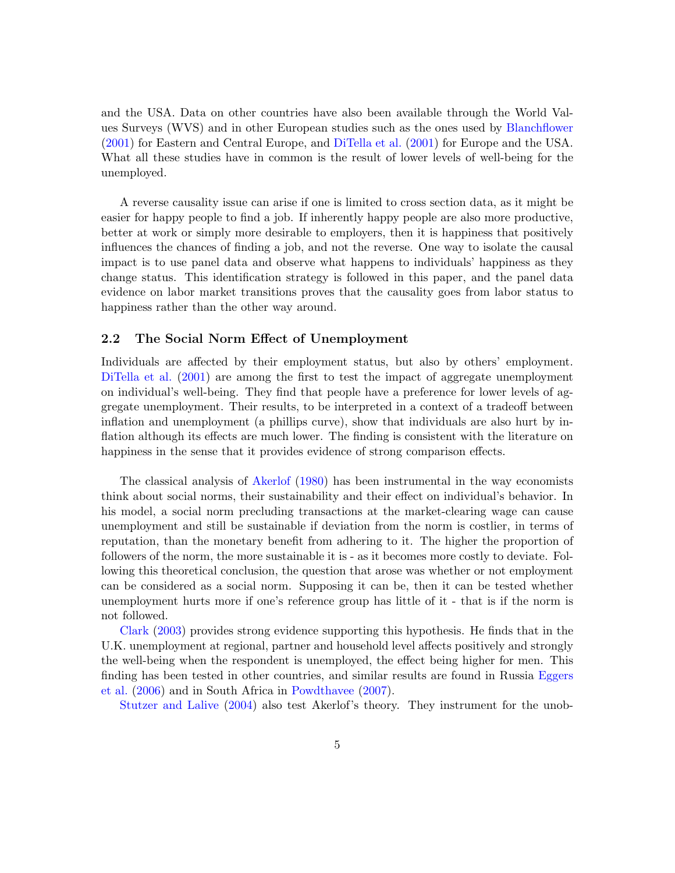and the USA. Data on other countries have also been available through the World Values Surveys (WVS) and in other European studies such as the ones used by [Blanchflower](#page-30-6) [\(2001\)](#page-30-6) for Eastern and Central Europe, and [DiTella et al.](#page-30-7) [\(2001\)](#page-30-7) for Europe and the USA. What all these studies have in common is the result of lower levels of well-being for the unemployed.

A reverse causality issue can arise if one is limited to cross section data, as it might be easier for happy people to find a job. If inherently happy people are also more productive, better at work or simply more desirable to employers, then it is happiness that positively influences the chances of finding a job, and not the reverse. One way to isolate the causal impact is to use panel data and observe what happens to individuals' happiness as they change status. This identification strategy is followed in this paper, and the panel data evidence on labor market transitions proves that the causality goes from labor status to happiness rather than the other way around.

## <span id="page-4-0"></span>2.2 The Social Norm Effect of Unemployment

Individuals are affected by their employment status, but also by others' employment. [DiTella et al.](#page-30-7) [\(2001\)](#page-30-7) are among the first to test the impact of aggregate unemployment on individual's well-being. They find that people have a preference for lower levels of aggregate unemployment. Their results, to be interpreted in a context of a tradeoff between inflation and unemployment (a phillips curve), show that individuals are also hurt by inflation although its effects are much lower. The finding is consistent with the literature on happiness in the sense that it provides evidence of strong comparison effects.

The classical analysis of [Akerlof](#page-30-8) [\(1980\)](#page-30-8) has been instrumental in the way economists think about social norms, their sustainability and their effect on individual's behavior. In his model, a social norm precluding transactions at the market-clearing wage can cause unemployment and still be sustainable if deviation from the norm is costlier, in terms of reputation, than the monetary benefit from adhering to it. The higher the proportion of followers of the norm, the more sustainable it is - as it becomes more costly to deviate. Following this theoretical conclusion, the question that arose was whether or not employment can be considered as a social norm. Supposing it can be, then it can be tested whether unemployment hurts more if one's reference group has little of it - that is if the norm is not followed.

[Clark](#page-30-0) [\(2003\)](#page-30-0) provides strong evidence supporting this hypothesis. He finds that in the U.K. unemployment at regional, partner and household level affects positively and strongly the well-being when the respondent is unemployed, the effect being higher for men. This finding has been tested in other countries, and similar results are found in Russia [Eggers](#page-31-4) [et al.](#page-31-4) [\(2006\)](#page-31-4) and in South Africa in [Powdthavee](#page-31-5) [\(2007\)](#page-31-5).

[Stutzer and Lalive](#page-32-2) [\(2004\)](#page-32-2) also test Akerlof's theory. They instrument for the unob-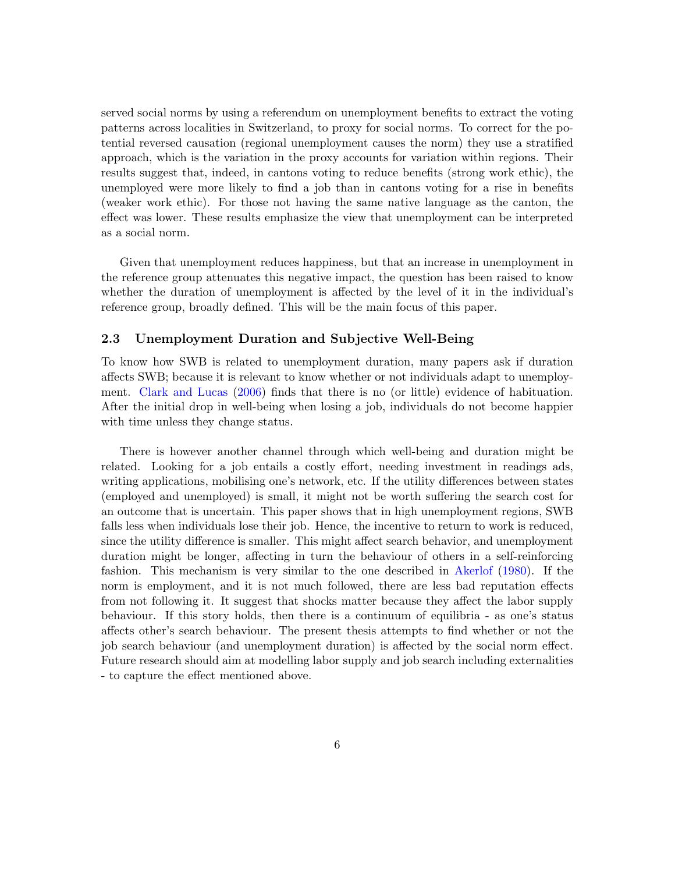served social norms by using a referendum on unemployment benefits to extract the voting patterns across localities in Switzerland, to proxy for social norms. To correct for the potential reversed causation (regional unemployment causes the norm) they use a stratified approach, which is the variation in the proxy accounts for variation within regions. Their results suggest that, indeed, in cantons voting to reduce benefits (strong work ethic), the unemployed were more likely to find a job than in cantons voting for a rise in benefits (weaker work ethic). For those not having the same native language as the canton, the effect was lower. These results emphasize the view that unemployment can be interpreted as a social norm.

Given that unemployment reduces happiness, but that an increase in unemployment in the reference group attenuates this negative impact, the question has been raised to know whether the duration of unemployment is affected by the level of it in the individual's reference group, broadly defined. This will be the main focus of this paper.

## <span id="page-5-0"></span>2.3 Unemployment Duration and Subjective Well-Being

To know how SWB is related to unemployment duration, many papers ask if duration affects SWB; because it is relevant to know whether or not individuals adapt to unemployment. [Clark and Lucas](#page-30-9) [\(2006\)](#page-30-9) finds that there is no (or little) evidence of habituation. After the initial drop in well-being when losing a job, individuals do not become happier with time unless they change status.

There is however another channel through which well-being and duration might be related. Looking for a job entails a costly effort, needing investment in readings ads, writing applications, mobilising one's network, etc. If the utility differences between states (employed and unemployed) is small, it might not be worth suffering the search cost for an outcome that is uncertain. This paper shows that in high unemployment regions, SWB falls less when individuals lose their job. Hence, the incentive to return to work is reduced, since the utility difference is smaller. This might affect search behavior, and unemployment duration might be longer, affecting in turn the behaviour of others in a self-reinforcing fashion. This mechanism is very similar to the one described in [Akerlof](#page-30-8) [\(1980\)](#page-30-8). If the norm is employment, and it is not much followed, there are less bad reputation effects from not following it. It suggest that shocks matter because they affect the labor supply behaviour. If this story holds, then there is a continuum of equilibria - as one's status affects other's search behaviour. The present thesis attempts to find whether or not the job search behaviour (and unemployment duration) is affected by the social norm effect. Future research should aim at modelling labor supply and job search including externalities - to capture the effect mentioned above.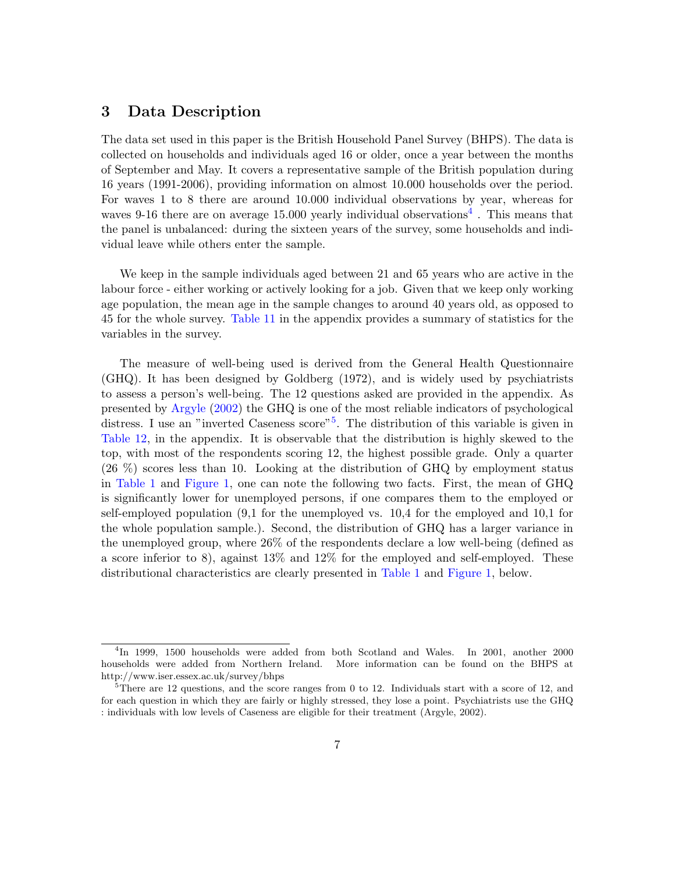# <span id="page-6-0"></span>3 Data Description

The data set used in this paper is the British Household Panel Survey (BHPS). The data is collected on households and individuals aged 16 or older, once a year between the months of September and May. It covers a representative sample of the British population during 16 years (1991-2006), providing information on almost 10.000 households over the period. For waves 1 to 8 there are around 10.000 individual observations by year, whereas for waves 9-16 there are on average 15.000 yearly individual observations<sup>[4](#page-6-1)</sup>. This means that the panel is unbalanced: during the sixteen years of the survey, some households and individual leave while others enter the sample.

We keep in the sample individuals aged between 21 and 65 years who are active in the labour force - either working or actively looking for a job. Given that we keep only working age population, the mean age in the sample changes to around 40 years old, as opposed to 45 for the whole survey. [Table](#page-37-1) [11](#page-37-1) in the appendix provides a summary of statistics for the variables in the survey.

The measure of well-being used is derived from the General Health Questionnaire (GHQ). It has been designed by Goldberg (1972), and is widely used by psychiatrists to assess a person's well-being. The 12 questions asked are provided in the appendix. As presented by [Argyle](#page-30-5) [\(2002\)](#page-30-5) the GHQ is one of the most reliable indicators of psychological distress. I use an "inverted Caseness score"<sup>[5](#page-6-2)</sup>. The distribution of this variable is given in [Table](#page-38-0) [12,](#page-38-0) in the appendix. It is observable that the distribution is highly skewed to the top, with most of the respondents scoring 12, the highest possible grade. Only a quarter (26 %) scores less than 10. Looking at the distribution of GHQ by employment status in [Table](#page-7-0) [1](#page-7-0) and [Figure](#page-7-1) [1,](#page-7-1) one can note the following two facts. First, the mean of GHQ is significantly lower for unemployed persons, if one compares them to the employed or self-employed population (9,1 for the unemployed vs. 10,4 for the employed and 10,1 for the whole population sample.). Second, the distribution of GHQ has a larger variance in the unemployed group, where 26% of the respondents declare a low well-being (defined as a score inferior to 8), against 13% and 12% for the employed and self-employed. These distributional characteristics are clearly presented in [Table](#page-7-0) [1](#page-7-0) and [Figure](#page-7-1) [1,](#page-7-1) below.

<span id="page-6-1"></span><sup>4</sup> In 1999, 1500 households were added from both Scotland and Wales. In 2001, another 2000 households were added from Northern Ireland. More information can be found on the BHPS at http://www.iser.essex.ac.uk/survey/bhps

<span id="page-6-2"></span> $5$ There are 12 questions, and the score ranges from 0 to 12. Individuals start with a score of 12, and for each question in which they are fairly or highly stressed, they lose a point. Psychiatrists use the GHQ : individuals with low levels of Caseness are eligible for their treatment (Argyle, 2002).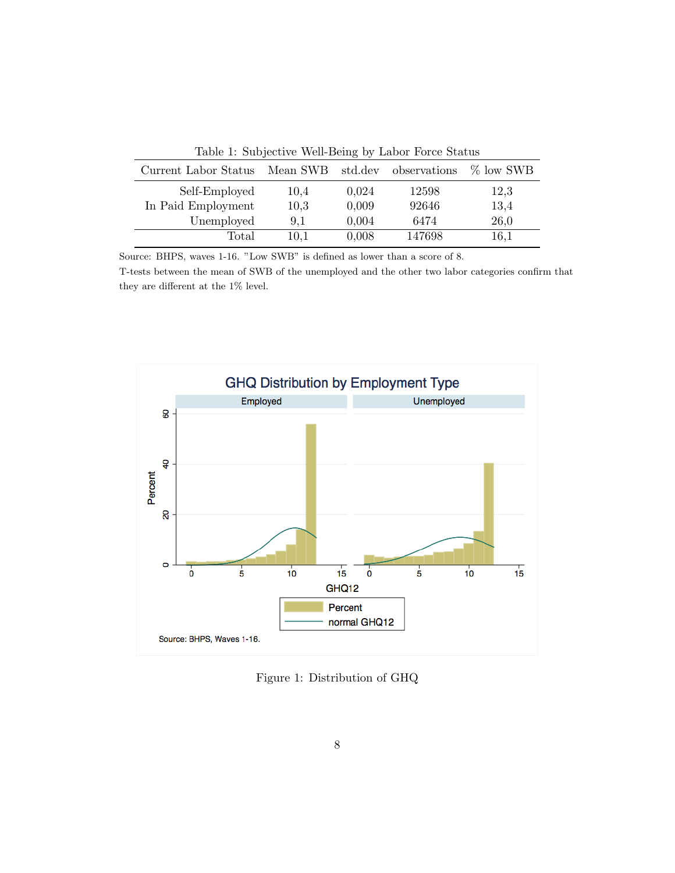| Current Labor Status | Mean SWB std.dev |       | observations | $\%$ low SWB |
|----------------------|------------------|-------|--------------|--------------|
| Self-Employed        | 10,4             | 0,024 | 12598        | 12,3         |
| In Paid Employment   | 10,3             | 0,009 | 92646        | 13,4         |
| Unemployed           | 9.1              | 0,004 | 6474         | 26,0         |
| Total                | 10,1             | 0,008 | 147698       | 16,1         |
|                      |                  |       |              |              |

<span id="page-7-0"></span>Table 1: Subjective Well-Being by Labor Force Status

Source: BHPS, waves 1-16. "Low SWB" is defined as lower than a score of 8.

T-tests between the mean of SWB of the unemployed and the other two labor categories confirm that they are different at the 1% level.



<span id="page-7-1"></span>Figure 1: Distribution of GHQ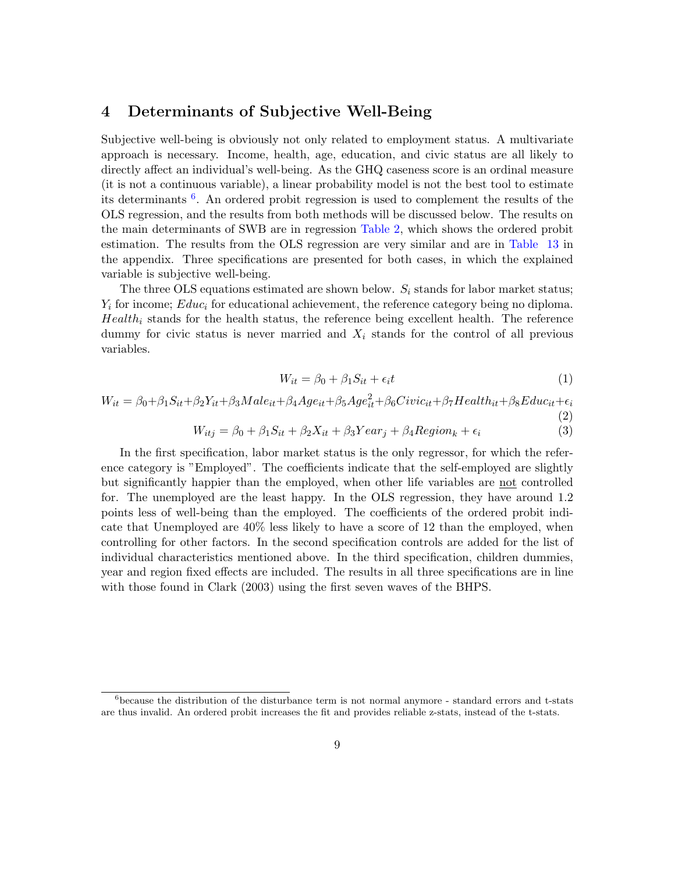# <span id="page-8-0"></span>4 Determinants of Subjective Well-Being

Subjective well-being is obviously not only related to employment status. A multivariate approach is necessary. Income, health, age, education, and civic status are all likely to directly affect an individual's well-being. As the GHQ caseness score is an ordinal measure (it is not a continuous variable), a linear probability model is not the best tool to estimate its determinants  $6$ . An ordered probit regression is used to complement the results of the OLS regression, and the results from both methods will be discussed below. The results on the main determinants of SWB are in regression [Table](#page-9-0) [2,](#page-9-0) which shows the ordered probit estimation. The results from the OLS regression are very similar and are in [Table](#page-39-0) [13](#page-39-0) in the appendix. Three specifications are presented for both cases, in which the explained variable is subjective well-being.

The three OLS equations estimated are shown below.  $S_i$  stands for labor market status;  $Y_i$  for income;  $Educ_i$  for educational achievement, the reference category being no diploma.  $Health_i$  stands for the health status, the reference being excellent health. The reference dummy for civic status is never married and  $X_i$  stands for the control of all previous variables.

$$
W_{it} = \beta_0 + \beta_1 S_{it} + \epsilon_i t \tag{1}
$$

(2)

$$
W_{it} = \beta_0 + \beta_1 S_{it} + \beta_2 Y_{it} + \beta_3 Male_{it} + \beta_4 Age_{it} + \beta_5 Age_{it}^2 + \beta_6 Civic_{it} + \beta_7 Health_{it} + \beta_8 Educ_{it} + \epsilon_i
$$

$$
W_{itj} = \beta_0 + \beta_1 S_{it} + \beta_2 X_{it} + \beta_3 Year_j + \beta_4 Region_k + \epsilon_i
$$
\n(3)

In the first specification, labor market status is the only regressor, for which the reference category is "Employed". The coefficients indicate that the self-employed are slightly but significantly happier than the employed, when other life variables are not controlled for. The unemployed are the least happy. In the OLS regression, they have around 1.2 points less of well-being than the employed. The coefficients of the ordered probit indicate that Unemployed are 40% less likely to have a score of 12 than the employed, when controlling for other factors. In the second specification controls are added for the list of individual characteristics mentioned above. In the third specification, children dummies, year and region fixed effects are included. The results in all three specifications are in line with those found in Clark (2003) using the first seven waves of the BHPS.

<span id="page-8-1"></span> $6$ because the distribution of the disturbance term is not normal anymore - standard errors and t-stats are thus invalid. An ordered probit increases the fit and provides reliable z-stats, instead of the t-stats.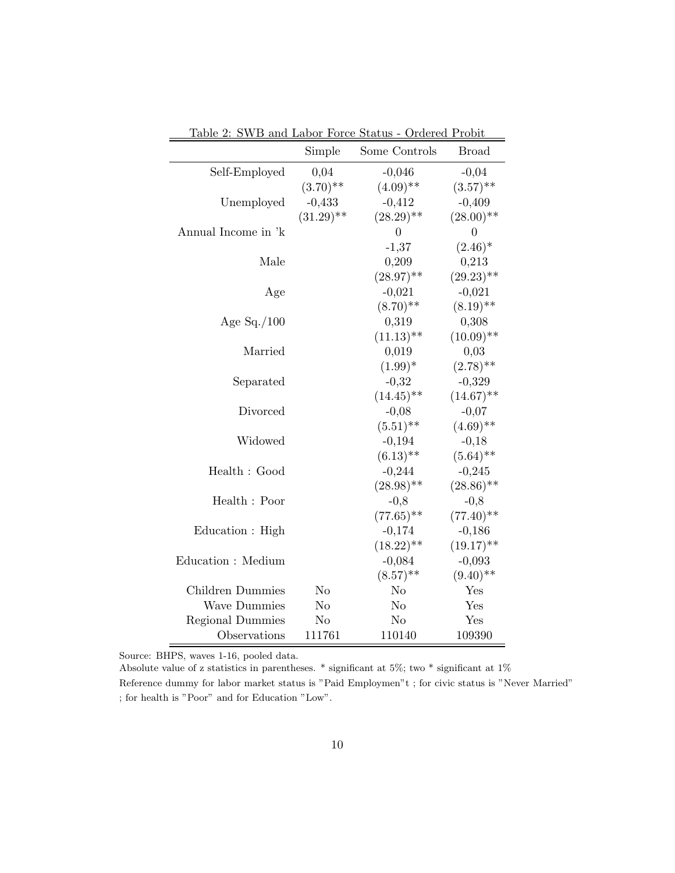|                         | Simple       | Some Controls  | <b>Broad</b>     |
|-------------------------|--------------|----------------|------------------|
| Self-Employed           | 0,04         | $-0,046$       | $-0,04$          |
|                         | $(3.70)$ **  | $(4.09)$ **    | $(3.57)$ **      |
| Unemployed              | $-0,433$     | $-0,412$       | $-0,409$         |
|                         | $(31.29)$ ** | $(28.29)$ **   | $(28.00)$ **     |
| Annual Income in 'k     |              | $\theta$       | $\boldsymbol{0}$ |
|                         |              | $-1,37$        | $(2.46)^*$       |
| Male                    |              | 0,209          | 0,213            |
|                         |              | $(28.97)$ **   | $(29.23)$ **     |
| Age                     |              | $-0,021$       | $-0,021$         |
|                         |              | $(8.70)$ **    | $(8.19)$ **      |
| Age $Sq. / 100$         |              | 0,319          | 0,308            |
|                         |              | $(11.13)$ **   | $(10.09)$ **     |
| Married                 |              | 0,019          | 0,03             |
|                         |              | $(1.99)^*$     | $(2.78)$ **      |
| Separated               |              | $-0,32$        | $-0,329$         |
|                         |              | $(14.45)$ **   | $(14.67)$ **     |
| Divorced                |              | $-0,08$        | $-0,07$          |
|                         |              | $(5.51)$ **    | $(4.69)$ **      |
| Widowed                 |              | $-0,194$       | $-0,18$          |
|                         |              | $(6.13)$ **    | $(5.64)$ **      |
| Health : Good           |              | $-0,244$       | $-0,245$         |
|                         |              | $(28.98)$ **   | $(28.86)$ **     |
| Health: Poor            |              | $-0,8$         | $-0,8$           |
|                         |              | $(77.65)$ **   | $(77.40)^{**}$   |
| Education : High        |              | $-0,174$       | $-0,186$         |
|                         |              | $(18.22)$ **   | $(19.17)$ **     |
| Education : Medium      |              | $-0,084$       | $-0,093$         |
|                         |              | $(8.57)$ **    | $(9.40)$ **      |
| Children Dummies        | No           | N <sub>o</sub> | Yes              |
| <b>Wave Dummies</b>     | No           | No             | Yes              |
| <b>Regional Dummies</b> | No           | N <sub>o</sub> | Yes              |
| Observations            | 111761       | 110140         | 109390           |

<span id="page-9-0"></span>Table 2: SWB and Labor Force Status - Ordered Probit

Source: BHPS, waves 1-16, pooled data.

Absolute value of z statistics in parentheses. \* significant at 5%; two \* significant at 1% Reference dummy for labor market status is "Paid Employmen"t ; for civic status is "Never Married" ; for health is "Poor" and for Education "Low".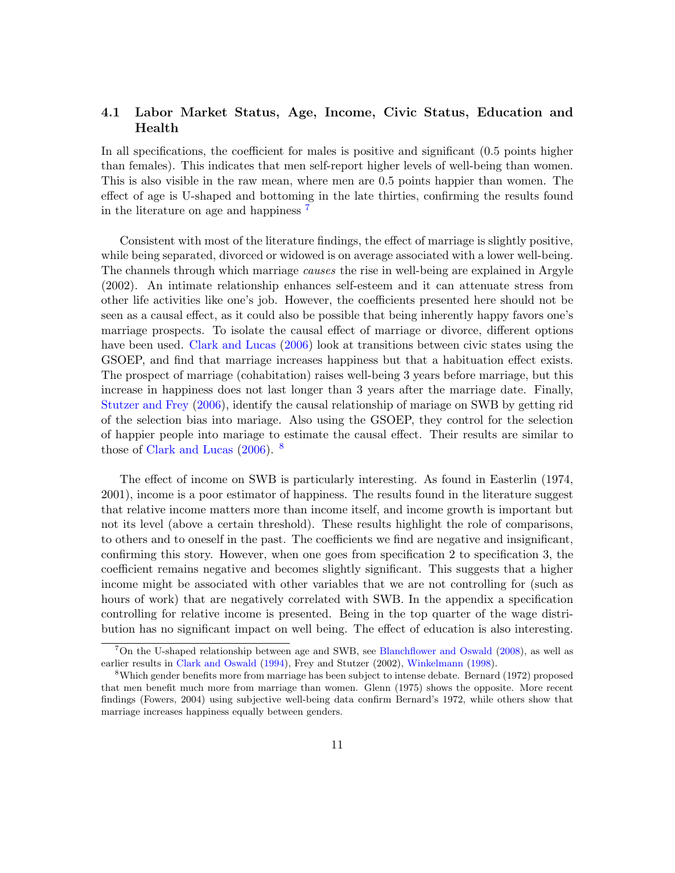# <span id="page-10-0"></span>4.1 Labor Market Status, Age, Income, Civic Status, Education and Health

In all specifications, the coefficient for males is positive and significant (0.5 points higher than females). This indicates that men self-report higher levels of well-being than women. This is also visible in the raw mean, where men are 0.5 points happier than women. The effect of age is U-shaped and bottoming in the late thirties, confirming the results found in the literature on age and happiness [7](#page-10-1)

Consistent with most of the literature findings, the effect of marriage is slightly positive, while being separated, divorced or widowed is on average associated with a lower well-being. The channels through which marriage causes the rise in well-being are explained in Argyle (2002). An intimate relationship enhances self-esteem and it can attenuate stress from other life activities like one's job. However, the coefficients presented here should not be seen as a causal effect, as it could also be possible that being inherently happy favors one's marriage prospects. To isolate the causal effect of marriage or divorce, different options have been used. [Clark and Lucas](#page-30-9) [\(2006\)](#page-30-9) look at transitions between civic states using the GSOEP, and find that marriage increases happiness but that a habituation effect exists. The prospect of marriage (cohabitation) raises well-being 3 years before marriage, but this increase in happiness does not last longer than 3 years after the marriage date. Finally, [Stutzer and Frey](#page-31-6) [\(2006\)](#page-31-6), identify the causal relationship of mariage on SWB by getting rid of the selection bias into mariage. Also using the GSOEP, they control for the selection of happier people into mariage to estimate the causal effect. Their results are similar to those of [Clark and Lucas](#page-30-9) [\(2006\)](#page-30-9). [8](#page-10-2)

The effect of income on SWB is particularly interesting. As found in Easterlin (1974, 2001), income is a poor estimator of happiness. The results found in the literature suggest that relative income matters more than income itself, and income growth is important but not its level (above a certain threshold). These results highlight the role of comparisons, to others and to oneself in the past. The coefficients we find are negative and insignificant, confirming this story. However, when one goes from specification 2 to specification 3, the coefficient remains negative and becomes slightly significant. This suggests that a higher income might be associated with other variables that we are not controlling for (such as hours of work) that are negatively correlated with SWB. In the appendix a specification controlling for relative income is presented. Being in the top quarter of the wage distribution has no significant impact on well being. The effect of education is also interesting.

<span id="page-10-1"></span><sup>&</sup>lt;sup>7</sup>On the U-shaped relationship between age and SWB, see [Blanchflower and Oswald](#page-30-10) [\(2008\)](#page-30-10), as well as earlier results in [Clark and Oswald](#page-30-2) [\(1994\)](#page-30-2), Frey and Stutzer (2002), [Winkelmann](#page-32-0) [\(1998\)](#page-32-0).

<span id="page-10-2"></span><sup>8</sup>Which gender benefits more from marriage has been subject to intense debate. Bernard (1972) proposed that men benefit much more from marriage than women. Glenn (1975) shows the opposite. More recent findings (Fowers, 2004) using subjective well-being data confirm Bernard's 1972, while others show that marriage increases happiness equally between genders.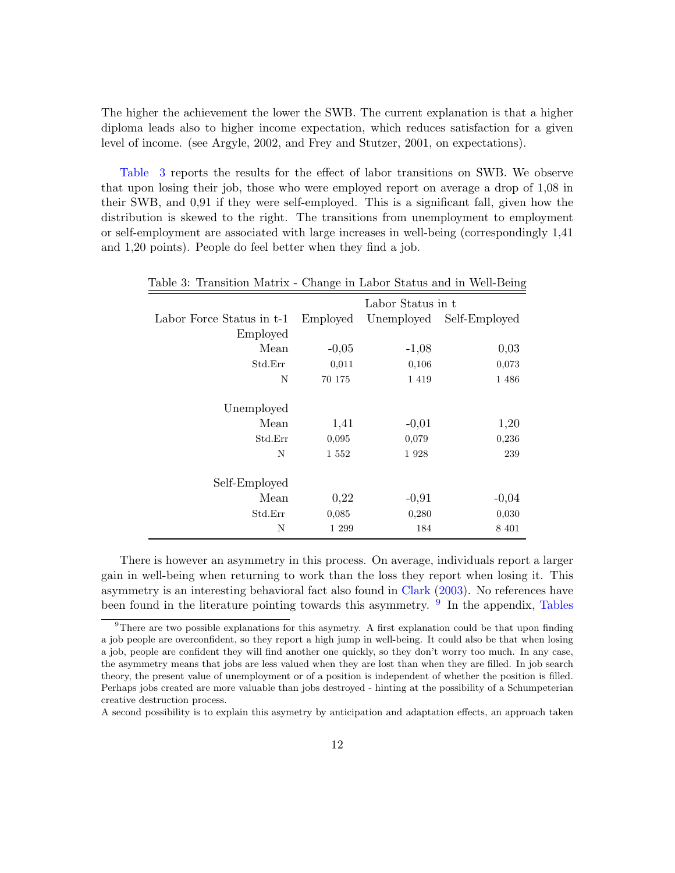The higher the achievement the lower the SWB. The current explanation is that a higher diploma leads also to higher income expectation, which reduces satisfaction for a given level of income. (see Argyle, 2002, and Frey and Stutzer, 2001, on expectations).

[Table](#page-11-0) [3](#page-11-0) reports the results for the effect of labor transitions on SWB. We observe that upon losing their job, those who were employed report on average a drop of 1,08 in their SWB, and 0,91 if they were self-employed. This is a significant fall, given how the distribution is skewed to the right. The transitions from unemployment to employment or self-employment are associated with large increases in well-being (correspondingly 1,41 and 1,20 points). People do feel better when they find a job.

<span id="page-11-0"></span>

|                           |          | Labor Status in t |               |
|---------------------------|----------|-------------------|---------------|
| Labor Force Status in t-1 | Employed | Unemployed        | Self-Employed |
| Employed                  |          |                   |               |
| Mean                      | $-0,05$  | $-1,08$           | 0,03          |
| Std.Err                   | 0,011    | 0,106             | 0,073         |
| N                         | 70 175   | 1 4 1 9           | 1 486         |
|                           |          |                   |               |
| Unemployed                |          |                   |               |
| Mean                      | 1,41     | $-0,01$           | 1,20          |
| Std.Err                   | 0,095    | 0,079             | 0,236         |
| N                         | 1 552    | 1928              | 239           |
|                           |          |                   |               |
| Self-Employed             |          |                   |               |
| Mean                      | 0,22     | $-0,91$           | $-0,04$       |
| Std.Err                   | 0,085    | 0,280             | 0,030         |
| N                         | 1 299    | 184               | 8 4 0 1       |

Table 3: Transition Matrix - Change in Labor Status and in Well-Being

There is however an asymmetry in this process. On average, individuals report a larger gain in well-being when returning to work than the loss they report when losing it. This asymmetry is an interesting behavioral fact also found in [Clark](#page-30-0) [\(2003\)](#page-30-0). No references have been found in the literature pointing towards this asymmetry. <sup>[9](#page-11-1)</sup> In the appendix, [Tables](#page-40-0)

[A second possibility is to explain this asymetry by anticipation and adaptation effects, an approach taken](#page-40-0)

<span id="page-11-1"></span> $9$ [There are two possible explanations for this asymetry. A first explanation could be that upon finding](#page-40-0) [a job people are overconfident, so they report a high jump in well-being. It could also be that when losing](#page-40-0) [a job, people are confident they will find another one quickly, so they don't worry too much. In any case,](#page-40-0) [the asymmetry means that jobs are less valued when they are lost than when they are filled. In job search](#page-40-0) [theory, the present value of unemployment or of a position is independent of whether the position is filled.](#page-40-0) [Perhaps jobs created are more valuable than jobs destroyed - hinting at the possibility of a Schumpeterian](#page-40-0) [creative destruction process.](#page-40-0)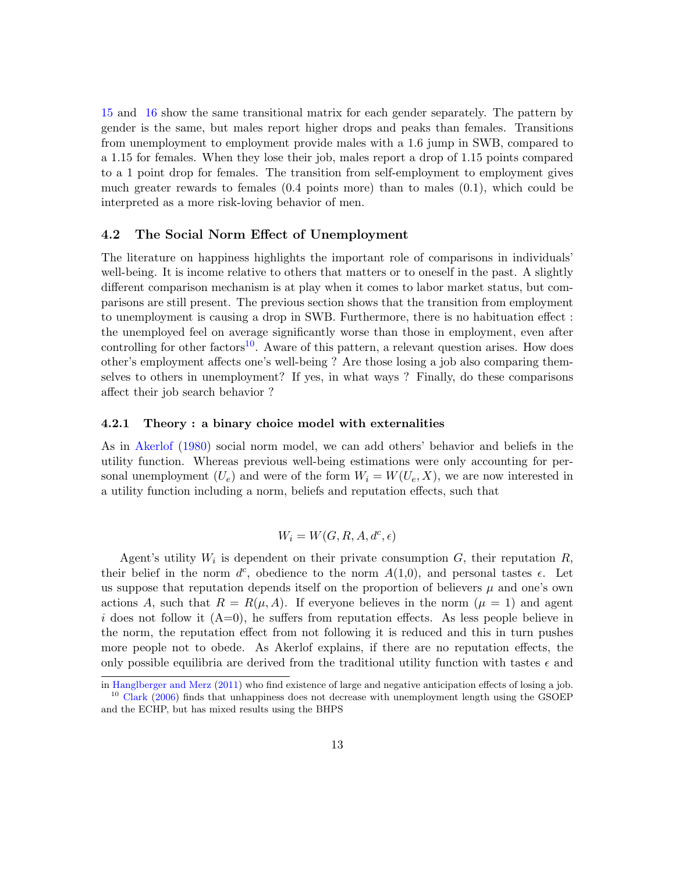[15](#page-40-0) and [16](#page-40-1) show the same transitional matrix for each gender separately. The pattern by gender is the same, but males report higher drops and peaks than females. Transitions from unemployment to employment provide males with a 1.6 jump in SWB, compared to a 1.15 for females. When they lose their job, males report a drop of 1.15 points compared to a 1 point drop for females. The transition from self-employment to employment gives much greater rewards to females (0.4 points more) than to males (0.1), which could be interpreted as a more risk-loving behavior of men.

### <span id="page-12-0"></span>4.2 The Social Norm Effect of Unemployment

The literature on happiness highlights the important role of comparisons in individuals' well-being. It is income relative to others that matters or to oneself in the past. A slightly different comparison mechanism is at play when it comes to labor market status, but comparisons are still present. The previous section shows that the transition from employment to unemployment is causing a drop in SWB. Furthermore, there is no habituation effect : the unemployed feel on average significantly worse than those in employment, even after controlling for other factors<sup>[10](#page-12-2)</sup>. Aware of this pattern, a relevant question arises. How does other's employment affects one's well-being ? Are those losing a job also comparing themselves to others in unemployment? If yes, in what ways ? Finally, do these comparisons affect their job search behavior ?

#### <span id="page-12-1"></span>4.2.1 Theory : a binary choice model with externalities

As in [Akerlof](#page-30-8) [\(1980\)](#page-30-8) social norm model, we can add others' behavior and beliefs in the utility function. Whereas previous well-being estimations were only accounting for personal unemployment  $(U_e)$  and were of the form  $W_i = W(U_e, X)$ , we are now interested in a utility function including a norm, beliefs and reputation effects, such that

$$
W_i = W(G, R, A, d^c, \epsilon)
$$

Agent's utility  $W_i$  is dependent on their private consumption  $G$ , their reputation  $R$ , their belief in the norm  $d^c$ , obedience to the norm  $A(1,0)$ , and personal tastes  $\epsilon$ . Let us suppose that reputation depends itself on the proportion of believers  $\mu$  and one's own actions A, such that  $R = R(\mu, A)$ . If everyone believes in the norm  $(\mu = 1)$  and agent i does not follow it  $(A=0)$ , he suffers from reputation effects. As less people believe in the norm, the reputation effect from not following it is reduced and this in turn pushes more people not to obede. As Akerlof explains, if there are no reputation effects, the only possible equilibria are derived from the traditional utility function with tastes  $\epsilon$  and

<span id="page-12-2"></span>in [Hanglberger and Merz](#page-31-7) [\(2011\)](#page-31-7) who find existence of large and negative anticipation effects of losing a job. <sup>10</sup> [Clark](#page-30-11) [\(2006\)](#page-30-11) finds that unhappiness does not decrease with unemployment length using the GSOEP

and the ECHP, but has mixed results using the BHPS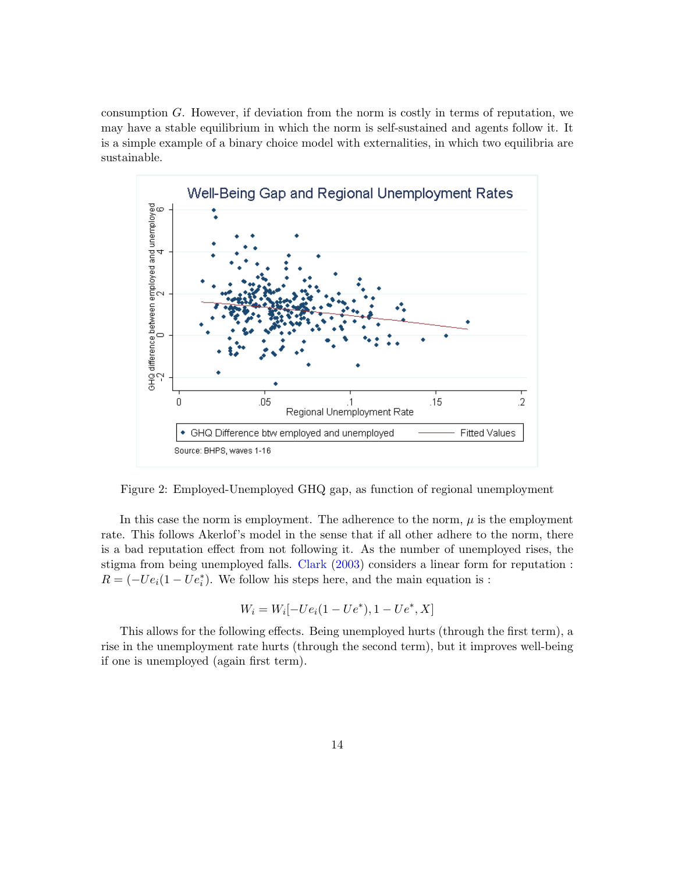consumption  $G$ . However, if deviation from the norm is costly in terms of reputation, we may have a stable equilibrium in which the norm is self-sustained and agents follow it. It is a simple example of a binary choice model with externalities, in which two equilibria are sustainable.



<span id="page-13-0"></span>Figure 2: Employed-Unemployed GHQ gap, as function of regional unemployment

In this case the norm is employment. The adherence to the norm,  $\mu$  is the employment rate. This follows Akerlof's model in the sense that if all other adhere to the norm, there is a bad reputation effect from not following it. As the number of unemployed rises, the stigma from being unemployed falls. [Clark](#page-30-0) [\(2003\)](#page-30-0) considers a linear form for reputation :  $R = (-Ue_i(1-Ue_i^*)$ . We follow his steps here, and the main equation is :

$$
W_i = W_i[-Ue_i(1-Ue^*), 1-Ue^*, X]
$$

This allows for the following effects. Being unemployed hurts (through the first term), a rise in the unemployment rate hurts (through the second term), but it improves well-being if one is unemployed (again first term).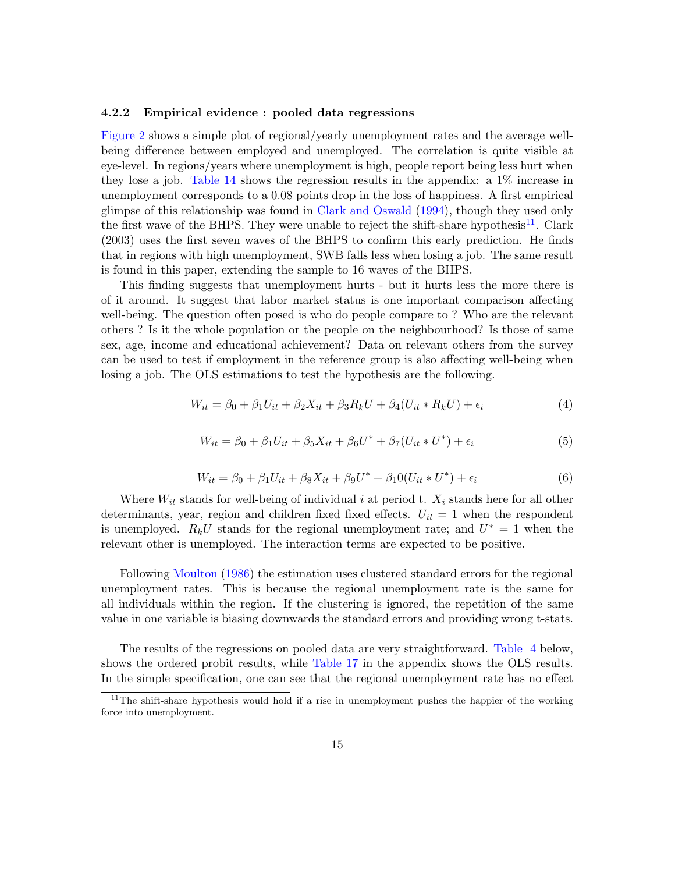#### <span id="page-14-0"></span>4.2.2 Empirical evidence : pooled data regressions

[Figure](#page-13-0) [2](#page-13-0) shows a simple plot of regional/yearly unemployment rates and the average wellbeing difference between employed and unemployed. The correlation is quite visible at eye-level. In regions/years where unemployment is high, people report being less hurt when they lose a job. [Table](#page-38-1) [14](#page-38-1) shows the regression results in the appendix: a 1% increase in unemployment corresponds to a 0.08 points drop in the loss of happiness. A first empirical glimpse of this relationship was found in [Clark and Oswald](#page-30-2) [\(1994\)](#page-30-2), though they used only the first wave of the BHPS. They were unable to reject the shift-share hypothesis<sup>[11](#page-14-1)</sup>. Clark (2003) uses the first seven waves of the BHPS to confirm this early prediction. He finds that in regions with high unemployment, SWB falls less when losing a job. The same result is found in this paper, extending the sample to 16 waves of the BHPS.

This finding suggests that unemployment hurts - but it hurts less the more there is of it around. It suggest that labor market status is one important comparison affecting well-being. The question often posed is who do people compare to ? Who are the relevant others ? Is it the whole population or the people on the neighbourhood? Is those of same sex, age, income and educational achievement? Data on relevant others from the survey can be used to test if employment in the reference group is also affecting well-being when losing a job. The OLS estimations to test the hypothesis are the following.

$$
W_{it} = \beta_0 + \beta_1 U_{it} + \beta_2 X_{it} + \beta_3 R_k U + \beta_4 (U_{it} * R_k U) + \epsilon_i
$$
\n
$$
\tag{4}
$$

$$
W_{it} = \beta_0 + \beta_1 U_{it} + \beta_5 X_{it} + \beta_6 U^* + \beta_7 (U_{it} * U^*) + \epsilon_i
$$
\n(5)

$$
W_{it} = \beta_0 + \beta_1 U_{it} + \beta_8 X_{it} + \beta_9 U^* + \beta_1 0 (U_{it} * U^*) + \epsilon_i
$$
\n(6)

Where  $W_{it}$  stands for well-being of individual i at period t.  $X_i$  stands here for all other determinants, year, region and children fixed fixed effects.  $U_{it} = 1$  when the respondent is unemployed.  $R_k U$  stands for the regional unemployment rate; and  $U^* = 1$  when the relevant other is unemployed. The interaction terms are expected to be positive.

Following [Moulton](#page-31-8) [\(1986\)](#page-31-8) the estimation uses clustered standard errors for the regional unemployment rates. This is because the regional unemployment rate is the same for all individuals within the region. If the clustering is ignored, the repetition of the same value in one variable is biasing downwards the standard errors and providing wrong t-stats.

The results of the regressions on pooled data are very straightforward. [Table](#page-16-1) [4](#page-16-1) below, shows the ordered probit results, while [Table](#page-41-0) [17](#page-41-0) in the appendix shows the OLS results. In the simple specification, one can see that the regional unemployment rate has no effect

<span id="page-14-1"></span> $11$ The shift-share hypothesis would hold if a rise in unemployment pushes the happier of the working force into unemployment.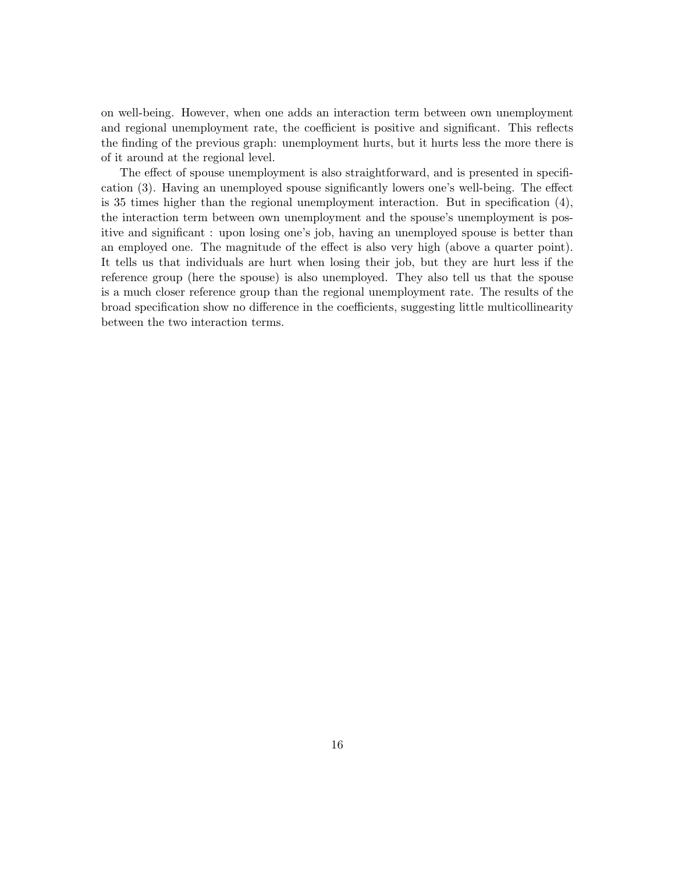on well-being. However, when one adds an interaction term between own unemployment and regional unemployment rate, the coefficient is positive and significant. This reflects the finding of the previous graph: unemployment hurts, but it hurts less the more there is of it around at the regional level.

The effect of spouse unemployment is also straightforward, and is presented in specification (3). Having an unemployed spouse significantly lowers one's well-being. The effect is 35 times higher than the regional unemployment interaction. But in specification (4), the interaction term between own unemployment and the spouse's unemployment is positive and significant : upon losing one's job, having an unemployed spouse is better than an employed one. The magnitude of the effect is also very high (above a quarter point). It tells us that individuals are hurt when losing their job, but they are hurt less if the reference group (here the spouse) is also unemployed. They also tell us that the spouse is a much closer reference group than the regional unemployment rate. The results of the broad specification show no difference in the coefficients, suggesting little multicollinearity between the two interaction terms.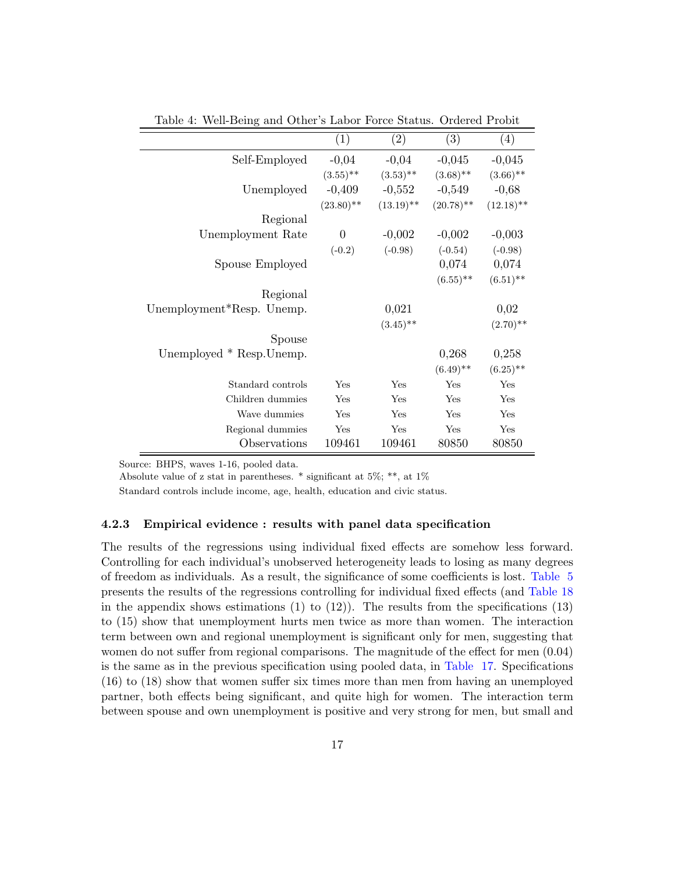|                           | $\left( 1\right)$ | $\left( 2\right)$ | (3)          | $\left(4\right)$ |
|---------------------------|-------------------|-------------------|--------------|------------------|
| Self-Employed             | $-0,04$           | $-0,04$           | $-0,045$     | $-0,045$         |
|                           | $(3.55)$ **       | $(3.53)$ **       | $(3.68)$ **  | $(3.66)$ **      |
| Unemployed                | $-0,409$          | $-0,552$          | $-0,549$     | $-0,68$          |
|                           | $(23.80)$ **      | $(13.19)$ **      | $(20.78)$ ** | $(12.18)$ **     |
| Regional                  |                   |                   |              |                  |
| Unemployment Rate         | $\boldsymbol{0}$  | $-0,002$          | $-0,002$     | $-0,003$         |
|                           | $(-0.2)$          | $(-0.98)$         | $(-0.54)$    | $(-0.98)$        |
| Spouse Employed           |                   |                   | 0,074        | 0,074            |
|                           |                   |                   | $(6.55)$ **  | $(6.51)$ **      |
| Regional                  |                   |                   |              |                  |
| Unemployment*Resp. Unemp. |                   | 0,021             |              | 0,02             |
|                           |                   | $(3.45)$ **       |              | $(2.70)$ **      |
| Spouse                    |                   |                   |              |                  |
| Unemployed * Resp. Unemp. |                   |                   | 0,268        | 0,258            |
|                           |                   |                   | $(6.49)$ **  | $(6.25)$ **      |
| Standard controls         | Yes               | Yes               | Yes          | Yes              |
| Children dummies          | Yes               | Yes               | Yes          | Yes              |
| Wave dummies              | Yes               | Yes               | Yes          | Yes              |
| Regional dummies          | Yes               | Yes               | Yes          | Yes              |
| Observations              | 109461            | 109461            | 80850        | 80850            |

<span id="page-16-1"></span>Table 4: Well-Being and Other's Labor Force Status. Ordered Probit

Source: BHPS, waves 1-16, pooled data.

Absolute value of z stat in parentheses. \* significant at 5%; \*\*, at 1%

Standard controls include income, age, health, education and civic status.

#### <span id="page-16-0"></span>4.2.3 Empirical evidence : results with panel data specification

The results of the regressions using individual fixed effects are somehow less forward. Controlling for each individual's unobserved heterogeneity leads to losing as many degrees of freedom as individuals. As a result, the significance of some coefficients is lost. [Table](#page-17-0) [5](#page-17-0) presents the results of the regressions controlling for individual fixed effects (and [Table](#page-43-0) [18](#page-43-0) in the appendix shows estimations  $(1)$  to  $(12)$ ). The results from the specifications  $(13)$ to (15) show that unemployment hurts men twice as more than women. The interaction term between own and regional unemployment is significant only for men, suggesting that women do not suffer from regional comparisons. The magnitude of the effect for men  $(0.04)$ is the same as in the previous specification using pooled data, in [Table](#page-41-0) [17.](#page-41-0) Specifications (16) to (18) show that women suffer six times more than men from having an unemployed partner, both effects being significant, and quite high for women. The interaction term between spouse and own unemployment is positive and very strong for men, but small and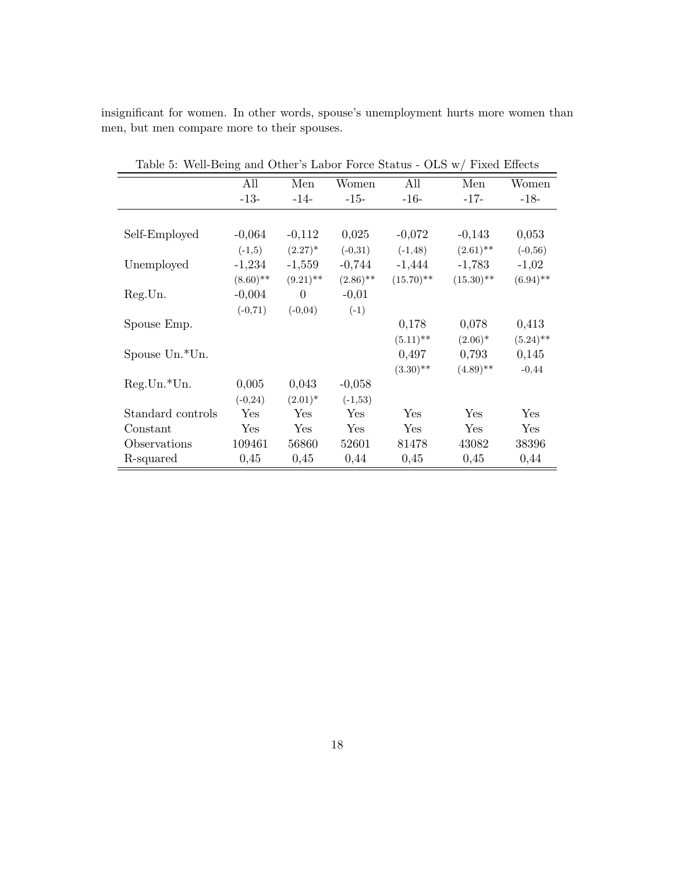insignificant for women. In other words, spouse's unemployment hurts more women than men, but men compare more to their spouses.

| Table 0. Well-Dellig and Other 3 Babor Torce Diatus - OLD W/TIACQ Enterts |             |             |             |              |              |             |
|---------------------------------------------------------------------------|-------------|-------------|-------------|--------------|--------------|-------------|
|                                                                           | All         | Men         | Women       | All          | Men          | Women       |
|                                                                           | $-13-$      | $-14-$      | $-15-$      | $-16-$       | $-17-$       | $-18-$      |
|                                                                           |             |             |             |              |              |             |
| Self-Employed                                                             | $-0,064$    | $-0,112$    | 0,025       | $-0,072$     | $-0,143$     | 0,053       |
|                                                                           | $(-1,5)$    | $(2.27)^*$  | $(-0,31)$   | $(-1, 48)$   | $(2.61)$ **  | $(-0, 56)$  |
| Unemployed                                                                | $-1,234$    | $-1,559$    | $-0,744$    | $-1,444$     | $-1,783$     | $-1,02$     |
|                                                                           | $(8.60)$ ** | $(9.21)$ ** | $(2.86)$ ** | $(15.70)$ ** | $(15.30)$ ** | $(6.94)$ ** |
| Reg.Un.                                                                   | $-0,004$    | $\theta$    | $-0,01$     |              |              |             |
|                                                                           | $(-0, 71)$  | $(-0,04)$   | $(-1)$      |              |              |             |
| Spouse Emp.                                                               |             |             |             | 0,178        | 0,078        | 0,413       |
|                                                                           |             |             |             | $(5.11)$ **  | $(2.06)^*$   | $(5.24)$ ** |
| Spouse Un. <sup>*</sup> Un.                                               |             |             |             | 0,497        | 0,793        | 0,145       |
|                                                                           |             |             |             | $(3.30)$ **  | $(4.89)$ **  | $-0,44$     |
| $Reg.Un.*Un.$                                                             | 0,005       | 0,043       | $-0,058$    |              |              |             |
|                                                                           | $(-0, 24)$  | $(2.01)^*$  | $(-1, 53)$  |              |              |             |
| Standard controls                                                         | Yes         | Yes         | Yes         | Yes          | Yes          | Yes         |
| Constant                                                                  | Yes         | Yes         | Yes         | Yes          | Yes          | Yes         |
| Observations                                                              | 109461      | 56860       | 52601       | 81478        | 43082        | 38396       |
| R-squared                                                                 | 0,45        | 0,45        | 0,44        | 0,45         | 0,45         | 0,44        |

<span id="page-17-0"></span>Table 5: Well-Being and Other's Labor Force Status - OLS w/ Fixed Effects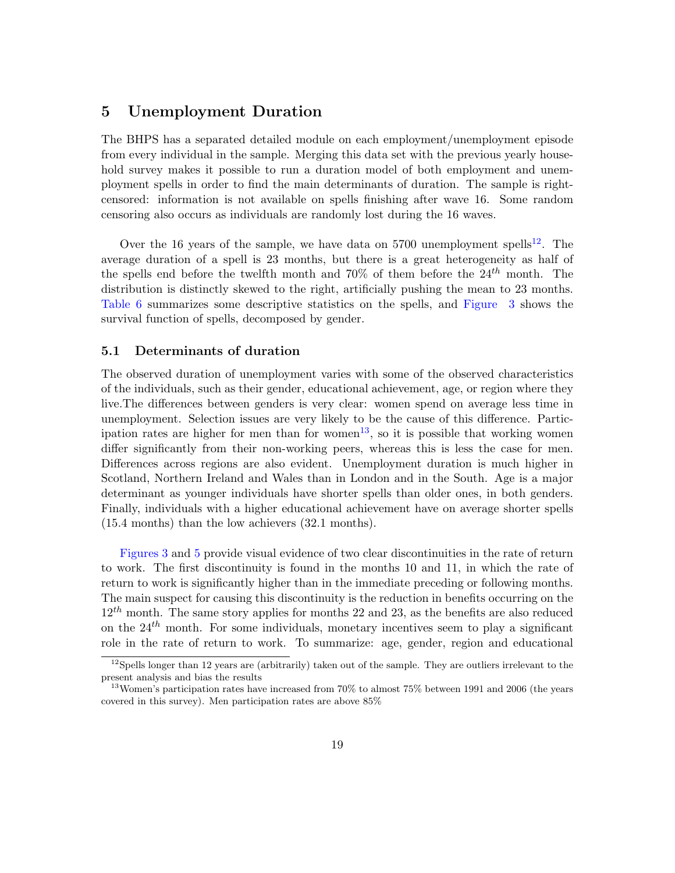# <span id="page-18-0"></span>5 Unemployment Duration

The BHPS has a separated detailed module on each employment/unemployment episode from every individual in the sample. Merging this data set with the previous yearly household survey makes it possible to run a duration model of both employment and unemployment spells in order to find the main determinants of duration. The sample is rightcensored: information is not available on spells finishing after wave 16. Some random censoring also occurs as individuals are randomly lost during the 16 waves.

Over the 16 years of the sample, we have data on 5700 unemployment spells<sup>[12](#page-18-2)</sup>. The average duration of a spell is 23 months, but there is a great heterogeneity as half of the spells end before the twelfth month and 70% of them before the  $24^{th}$  month. The distribution is distinctly skewed to the right, artificially pushing the mean to 23 months. [Table](#page-20-1) [6](#page-20-1) summarizes some descriptive statistics on the spells, and [Figure](#page-21-0) [3](#page-21-0) shows the survival function of spells, decomposed by gender.

### <span id="page-18-1"></span>5.1 Determinants of duration

The observed duration of unemployment varies with some of the observed characteristics of the individuals, such as their gender, educational achievement, age, or region where they live.The differences between genders is very clear: women spend on average less time in unemployment. Selection issues are very likely to be the cause of this difference. Partic-ipation rates are higher for men than for women<sup>[13](#page-18-3)</sup>, so it is possible that working women differ significantly from their non-working peers, whereas this is less the case for men. Differences across regions are also evident. Unemployment duration is much higher in Scotland, Northern Ireland and Wales than in London and in the South. Age is a major determinant as younger individuals have shorter spells than older ones, in both genders. Finally, individuals with a higher educational achievement have on average shorter spells (15.4 months) than the low achievers (32.1 months).

[Figures](#page-21-0) [3](#page-21-0) and [5](#page-26-1) provide visual evidence of two clear discontinuities in the rate of return to work. The first discontinuity is found in the months 10 and 11, in which the rate of return to work is significantly higher than in the immediate preceding or following months. The main suspect for causing this discontinuity is the reduction in benefits occurring on the  $12^{th}$  month. The same story applies for months 22 and 23, as the benefits are also reduced on the  $24^{th}$  month. For some individuals, monetary incentives seem to play a significant role in the rate of return to work. To summarize: age, gender, region and educational

<span id="page-18-2"></span> $12$ Spells longer than 12 years are (arbitrarily) taken out of the sample. They are outliers irrelevant to the present analysis and bias the results

<span id="page-18-3"></span><sup>&</sup>lt;sup>13</sup> Women's participation rates have increased from  $70\%$  to almost  $75\%$  between 1991 and 2006 (the years covered in this survey). Men participation rates are above 85%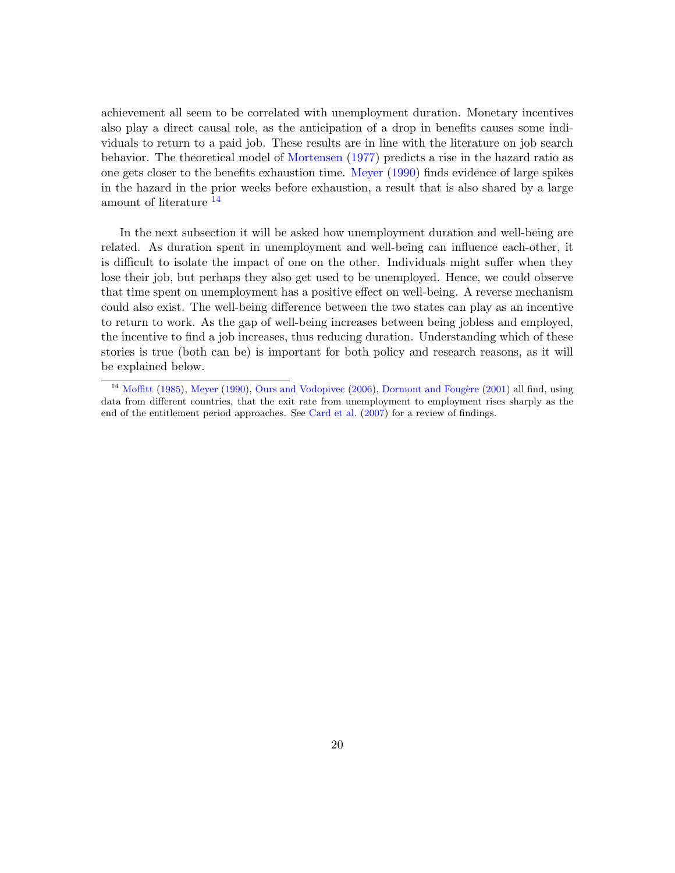achievement all seem to be correlated with unemployment duration. Monetary incentives also play a direct causal role, as the anticipation of a drop in benefits causes some individuals to return to a paid job. These results are in line with the literature on job search behavior. The theoretical model of [Mortensen](#page-31-9) [\(1977\)](#page-31-9) predicts a rise in the hazard ratio as one gets closer to the benefits exhaustion time. [Meyer](#page-31-10) [\(1990\)](#page-31-10) finds evidence of large spikes in the hazard in the prior weeks before exhaustion, a result that is also shared by a large amount of literature [14](#page-19-0)

In the next subsection it will be asked how unemployment duration and well-being are related. As duration spent in unemployment and well-being can influence each-other, it is difficult to isolate the impact of one on the other. Individuals might suffer when they lose their job, but perhaps they also get used to be unemployed. Hence, we could observe that time spent on unemployment has a positive effect on well-being. A reverse mechanism could also exist. The well-being difference between the two states can play as an incentive to return to work. As the gap of well-being increases between being jobless and employed, the incentive to find a job increases, thus reducing duration. Understanding which of these stories is true (both can be) is important for both policy and research reasons, as it will be explained below.

<span id="page-19-0"></span> $14$  [Moffitt](#page-31-11) [\(1985\)](#page-31-11), [Meyer](#page-31-10) [\(1990\)](#page-31-10), [Ours and Vodopivec](#page-31-12) [\(2006\)](#page-31-12), Dormont and Fougère [\(2001\)](#page-30-12) all find, using data from different countries, that the exit rate from unemployment to employment rises sharply as the end of the entitlement period approaches. See [Card et al.](#page-30-13) [\(2007\)](#page-30-13) for a review of findings.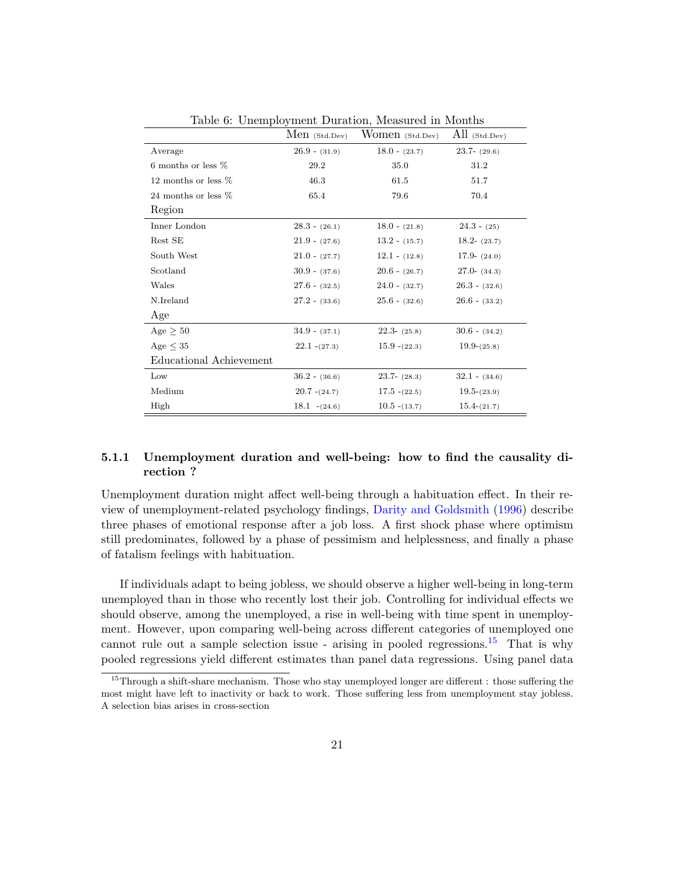|                         | $Men$ (Std.Dev) | Women (Std.Dev) | All (Std.Dev)   |
|-------------------------|-----------------|-----------------|-----------------|
| Average                 | $26.9 - (31.9)$ | $18.0 - (23.7)$ | $23.7 - (29.6)$ |
| 6 months or less $%$    | 29.2            | 35.0            | 31.2            |
| 12 months or less $%$   | 46.3            | 61.5            | 51.7            |
| 24 months or less $%$   | 65.4            | 79.6            | 70.4            |
| Region                  |                 |                 |                 |
| Inner London            | $28.3 - (26.1)$ | $18.0 - (21.8)$ | $24.3 - (25)$   |
| Rest SE                 | $21.9 - (27.6)$ | $13.2 - (15.7)$ | $18.2 - (23.7)$ |
| South West              | $21.0 - (27.7)$ | $12.1 - (12.8)$ | $17.9 - (24.0)$ |
| Scotland                | $30.9 - (37.6)$ | $20.6 - (26.7)$ | $27.0 - (34.3)$ |
| Wales                   | $27.6 - (32.5)$ | $24.0 - (32.7)$ | $26.3 - (32.6)$ |
| N.Ireland               | $27.2 - (33.6)$ | $25.6 - (32.6)$ | $26.6 - (33.2)$ |
| Age                     |                 |                 |                 |
| Age $\geq 50$           | $34.9 - (37.1)$ | $22.3 - (25.8)$ | $30.6 - (34.2)$ |
| Age $\leq 35$           | $22.1 - (27.3)$ | $15.9 - (22.3)$ | $19.9-(25.8)$   |
| Educational Achievement |                 |                 |                 |
| Low                     | $36.2 - (36.6)$ | $23.7 - (28.3)$ | $32.1 - (34.6)$ |
| Medium                  | $20.7 - (24.7)$ | $17.5 - (22.5)$ | $19.5-(23.9)$   |
| High                    | $18.1 - (24.6)$ | $10.5 - (13.7)$ | $15.4-(21.7)$   |

<span id="page-20-1"></span>Table 6: Unemployment Duration, Measured in Months

## <span id="page-20-0"></span>5.1.1 Unemployment duration and well-being: how to find the causality direction ?

Unemployment duration might affect well-being through a habituation effect. In their review of unemployment-related psychology findings, [Darity and Goldsmith](#page-30-1) [\(1996\)](#page-30-1) describe three phases of emotional response after a job loss. A first shock phase where optimism still predominates, followed by a phase of pessimism and helplessness, and finally a phase of fatalism feelings with habituation.

If individuals adapt to being jobless, we should observe a higher well-being in long-term unemployed than in those who recently lost their job. Controlling for individual effects we should observe, among the unemployed, a rise in well-being with time spent in unemployment. However, upon comparing well-being across different categories of unemployed one cannot rule out a sample selection issue - arising in pooled regressions.<sup>[15](#page-20-2)</sup> That is why pooled regressions yield different estimates than panel data regressions. Using panel data

<span id="page-20-2"></span><sup>&</sup>lt;sup>15</sup>Through a shift-share mechanism. Those who stay unemployed longer are different : those suffering the most might have left to inactivity or back to work. Those suffering less from unemployment stay jobless. A selection bias arises in cross-section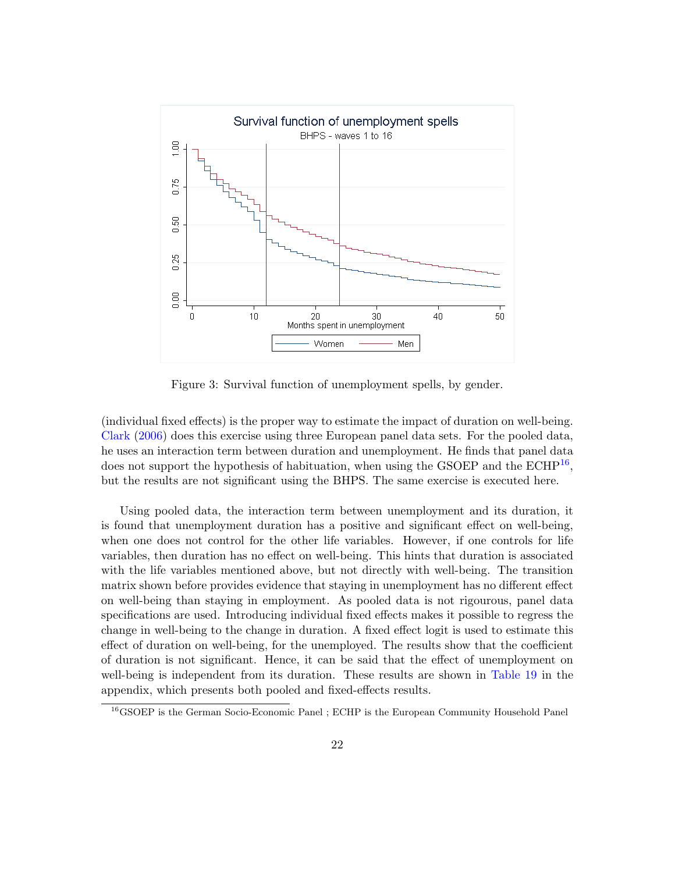

<span id="page-21-0"></span>Figure 3: Survival function of unemployment spells, by gender.

(individual fixed effects) is the proper way to estimate the impact of duration on well-being. [Clark](#page-30-11) [\(2006\)](#page-30-11) does this exercise using three European panel data sets. For the pooled data, he uses an interaction term between duration and unemployment. He finds that panel data does not support the hypothesis of habituation, when using the GSOEP and the  $\mathrm{ECHP}^{16}$  $\mathrm{ECHP}^{16}$  $\mathrm{ECHP}^{16}$ , but the results are not significant using the BHPS. The same exercise is executed here.

Using pooled data, the interaction term between unemployment and its duration, it is found that unemployment duration has a positive and significant effect on well-being, when one does not control for the other life variables. However, if one controls for life variables, then duration has no effect on well-being. This hints that duration is associated with the life variables mentioned above, but not directly with well-being. The transition matrix shown before provides evidence that staying in unemployment has no different effect on well-being than staying in employment. As pooled data is not rigourous, panel data specifications are used. Introducing individual fixed effects makes it possible to regress the change in well-being to the change in duration. A fixed effect logit is used to estimate this effect of duration on well-being, for the unemployed. The results show that the coefficient of duration is not significant. Hence, it can be said that the effect of unemployment on well-being is independent from its duration. These results are shown in [Table](#page-42-0) [19](#page-42-0) in the appendix, which presents both pooled and fixed-effects results.

<span id="page-21-1"></span><sup>16</sup>GSOEP is the German Socio-Economic Panel ; ECHP is the European Community Household Panel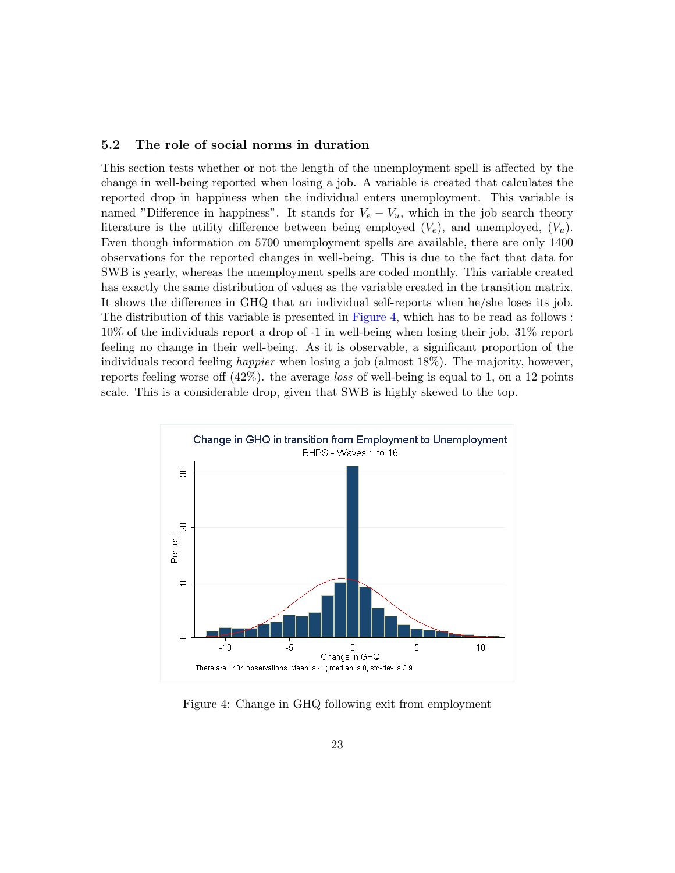### <span id="page-22-0"></span>5.2 The role of social norms in duration

This section tests whether or not the length of the unemployment spell is affected by the change in well-being reported when losing a job. A variable is created that calculates the reported drop in happiness when the individual enters unemployment. This variable is named "Difference in happiness". It stands for  $V_e - V_u$ , which in the job search theory literature is the utility difference between being employed  $(V_e)$ , and unemployed,  $(V_u)$ . Even though information on 5700 unemployment spells are available, there are only 1400 observations for the reported changes in well-being. This is due to the fact that data for SWB is yearly, whereas the unemployment spells are coded monthly. This variable created has exactly the same distribution of values as the variable created in the transition matrix. It shows the difference in GHQ that an individual self-reports when he/she loses its job. The distribution of this variable is presented in [Figure](#page-22-1) [4,](#page-22-1) which has to be read as follows : 10% of the individuals report a drop of -1 in well-being when losing their job. 31% report feeling no change in their well-being. As it is observable, a significant proportion of the individuals record feeling happier when losing a job (almost 18%). The majority, however, reports feeling worse off  $(42\%)$ . the average loss of well-being is equal to 1, on a 12 points scale. This is a considerable drop, given that SWB is highly skewed to the top.



<span id="page-22-1"></span>Figure 4: Change in GHQ following exit from employment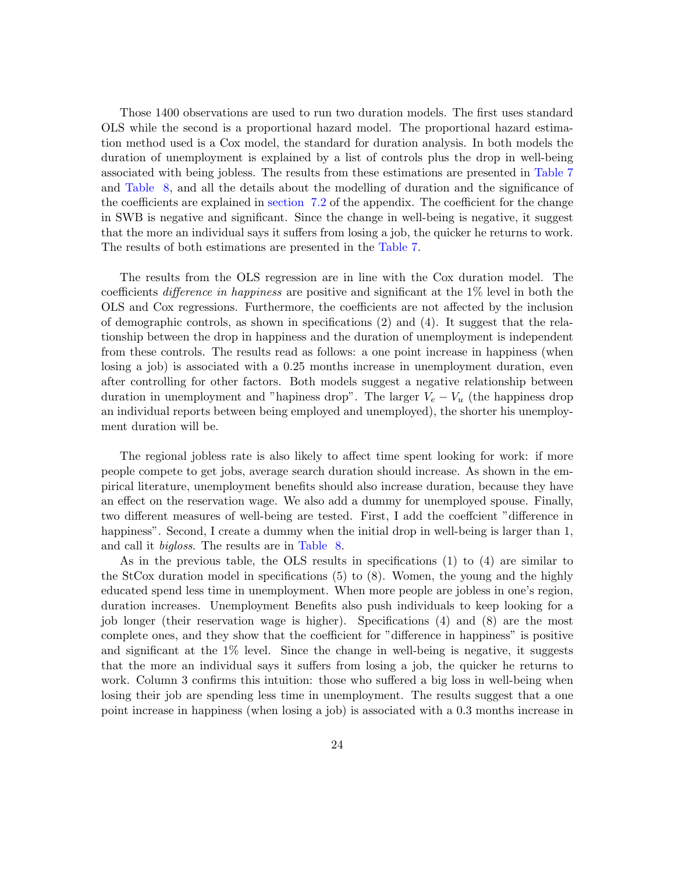Those 1400 observations are used to run two duration models. The first uses standard OLS while the second is a proportional hazard model. The proportional hazard estimation method used is a Cox model, the standard for duration analysis. In both models the duration of unemployment is explained by a list of controls plus the drop in well-being associated with being jobless. The results from these estimations are presented in [Table](#page-24-1) [7](#page-24-1) and [Table](#page-25-0) [8,](#page-25-0) and all the details about the modelling of duration and the significance of the coefficients are explained in [section](#page-34-0) [7.2](#page-34-0) of the appendix. The coefficient for the change in SWB is negative and significant. Since the change in well-being is negative, it suggest that the more an individual says it suffers from losing a job, the quicker he returns to work. The results of both estimations are presented in the [Table](#page-24-1) [7.](#page-24-1)

The results from the OLS regression are in line with the Cox duration model. The coefficients difference in happiness are positive and significant at the 1% level in both the OLS and Cox regressions. Furthermore, the coefficients are not affected by the inclusion of demographic controls, as shown in specifications (2) and (4). It suggest that the relationship between the drop in happiness and the duration of unemployment is independent from these controls. The results read as follows: a one point increase in happiness (when losing a job) is associated with a 0.25 months increase in unemployment duration, even after controlling for other factors. Both models suggest a negative relationship between duration in unemployment and "hapiness drop". The larger  $V_e - V_u$  (the happiness drop an individual reports between being employed and unemployed), the shorter his unemployment duration will be.

The regional jobless rate is also likely to affect time spent looking for work: if more people compete to get jobs, average search duration should increase. As shown in the empirical literature, unemployment benefits should also increase duration, because they have an effect on the reservation wage. We also add a dummy for unemployed spouse. Finally, two different measures of well-being are tested. First, I add the coeffcient "difference in happiness". Second, I create a dummy when the initial drop in well-being is larger than 1, and call it bigloss. The results are in [Table](#page-25-0) [8.](#page-25-0)

As in the previous table, the OLS results in specifications (1) to (4) are similar to the StCox duration model in specifications (5) to (8). Women, the young and the highly educated spend less time in unemployment. When more people are jobless in one's region, duration increases. Unemployment Benefits also push individuals to keep looking for a job longer (their reservation wage is higher). Specifications (4) and (8) are the most complete ones, and they show that the coefficient for "difference in happiness" is positive and significant at the 1% level. Since the change in well-being is negative, it suggests that the more an individual says it suffers from losing a job, the quicker he returns to work. Column 3 confirms this intuition: those who suffered a big loss in well-being when losing their job are spending less time in unemployment. The results suggest that a one point increase in happiness (when losing a job) is associated with a 0.3 months increase in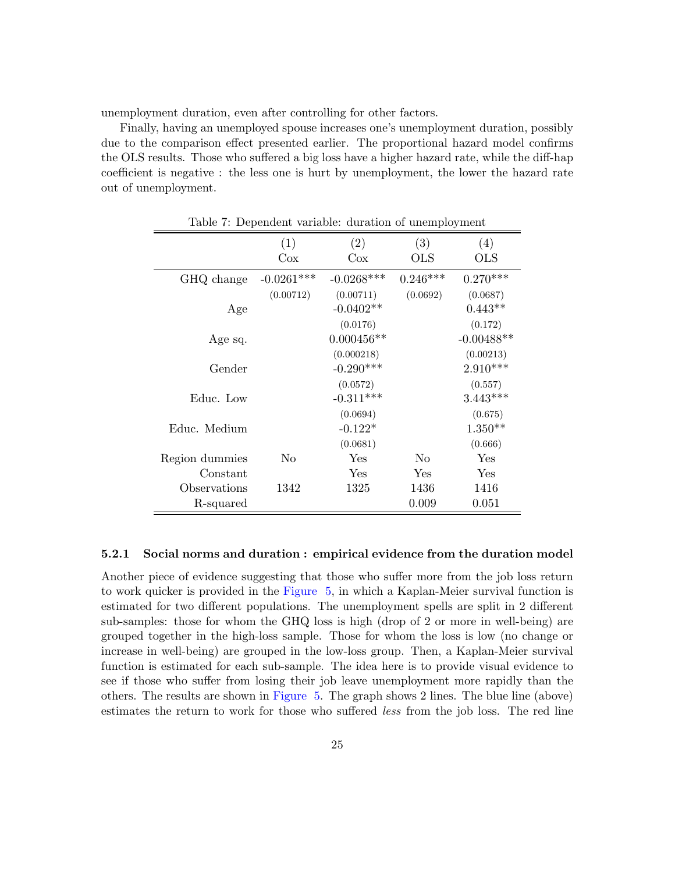unemployment duration, even after controlling for other factors.

Finally, having an unemployed spouse increases one's unemployment duration, possibly due to the comparison effect presented earlier. The proportional hazard model confirms the OLS results. Those who suffered a big loss have a higher hazard rate, while the diff-hap coefficient is negative : the less one is hurt by unemployment, the lower the hazard rate out of unemployment.

<span id="page-24-1"></span>

| Table 7: Dependent variable: duration of unemployment |              |               |            |              |
|-------------------------------------------------------|--------------|---------------|------------|--------------|
|                                                       | (1)<br>Cox   | (2)<br>$\cos$ | (3)<br>OLS | (4)<br>OLS   |
|                                                       |              |               |            |              |
| GHQ change                                            | $-0.0261***$ | $-0.0268***$  | $0.246***$ | $0.270***$   |
|                                                       | (0.00712)    | (0.00711)     | (0.0692)   | (0.0687)     |
| Age                                                   |              | $-0.0402**$   |            | $0.443**$    |
|                                                       |              | (0.0176)      |            | (0.172)      |
| Age sq.                                               |              | $0.000456**$  |            | $-0.00488**$ |
|                                                       |              | (0.000218)    |            | (0.00213)    |
| Gender                                                |              | $-0.290***$   |            | $2.910***$   |
|                                                       |              | (0.0572)      |            | (0.557)      |
| Educ. Low                                             |              | $-0.311***$   |            | $3.443***$   |
|                                                       |              | (0.0694)      |            | (0.675)      |
| Educ. Medium                                          |              | $-0.122*$     |            | $1.350**$    |
|                                                       |              | (0.0681)      |            | (0.666)      |
| Region dummies                                        | No           | Yes           | No         | Yes          |
| Constant                                              |              | Yes           | Yes        | Yes          |
| Observations                                          | 1342         | 1325          | 1436       | 1416         |
| R-squared                                             |              |               | 0.009      | 0.051        |

#### <span id="page-24-0"></span>5.2.1 Social norms and duration : empirical evidence from the duration model

Another piece of evidence suggesting that those who suffer more from the job loss return to work quicker is provided in the [Figure](#page-26-1) [5,](#page-26-1) in which a Kaplan-Meier survival function is estimated for two different populations. The unemployment spells are split in 2 different sub-samples: those for whom the GHQ loss is high (drop of 2 or more in well-being) are grouped together in the high-loss sample. Those for whom the loss is low (no change or increase in well-being) are grouped in the low-loss group. Then, a Kaplan-Meier survival function is estimated for each sub-sample. The idea here is to provide visual evidence to see if those who suffer from losing their job leave unemployment more rapidly than the others. The results are shown in [Figure](#page-26-1) [5.](#page-26-1) The graph shows 2 lines. The blue line (above) estimates the return to work for those who suffered less from the job loss. The red line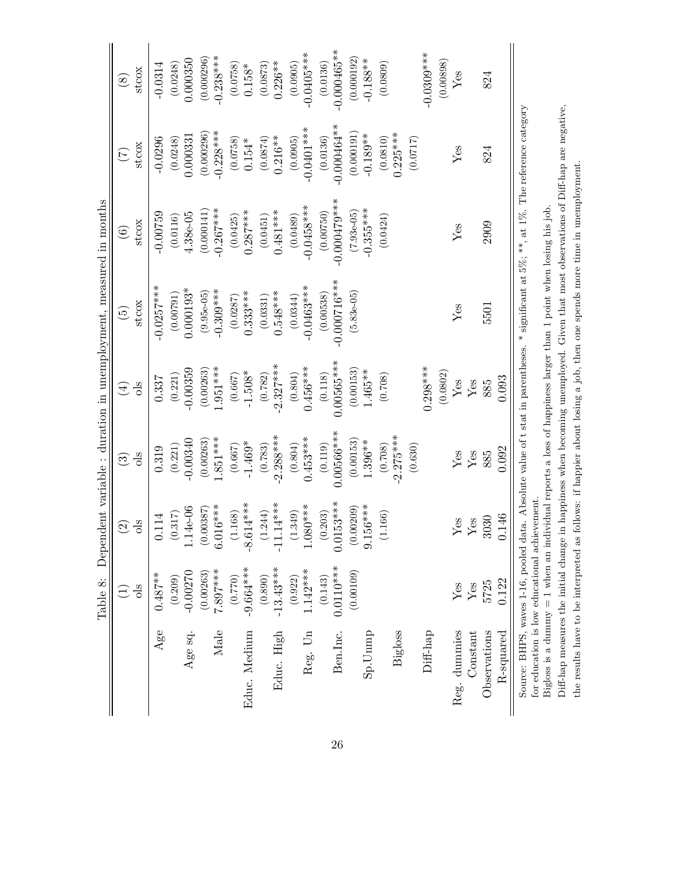<span id="page-25-0"></span>

| $-0.000465***$<br>$-0.0405***$<br>$-0.0309***$<br>$0.238***$<br>(0.000192)<br>(0.000296)<br>0.000350<br>$-0.188**$<br>(0.00898)<br>$0.226**$<br>(0.0248)<br>(0.0873)<br>(0.0905)<br>(0.0136)<br>(0.0809)<br>$-0.0314$<br>(0.0758)<br>$0.158*$<br>stcox<br>Yes<br>824<br>$\circledast$<br>$0.000464**$<br>$-0.0401***$<br>$0.228***$<br>$0.225***$<br>(0.000296)<br>$-0.189**$<br>(0.000191)<br>0.000331<br>(0.0810)<br>$0.216**$<br>(0.0758)<br>(0.0874)<br>(0.0717)<br>$-0.0296$<br>(0.0248)<br>(0.0136)<br>(0.0905)<br>$0.154*$<br>stcox<br>Yes<br>824<br>$(\mathcal{I})$<br>$-0.000479***$<br>$-0.0458***$<br>$0.267***$<br>$-0.355***$<br>$0.287***$<br>$0.481***$<br>$-0.00759$<br>$4.38e-05$<br>(0.000141)<br>(0.00750)<br>$(7.93 - 05)$<br>(0.0116)<br>(0.0451)<br>(0.0489)<br>(0.0425)<br>(0.0424)<br>stcox<br>2909<br>Yes<br>$\widehat{\odot}$<br>$-0.000716***$<br>$-0.0463***$<br>$0.0257***$<br>$0.000193*$<br>$-0.309***$<br>$0.333***$<br>$0.548***$<br>(0.00791)<br>$(9.95e-05)$<br>$(5.83e-05)$<br>(0.00538)<br>(0.0331)<br>(0.0287)<br>(0.0344)<br>stcox<br>5501<br>$Y$ es<br>$\widetilde{\Xi}$<br>$0.00565***$<br>$2.327***$<br>$0.456***$<br>$0.298***$<br>$1.951***$<br>$-0.00359$<br>(0.00263)<br>(0.00153)<br>1.465**<br>$-1.508*$<br>(0.0802)<br>(0.221)<br>(0.782)<br>(0.804)<br>(0.667)<br>(0.118)<br>(0.708)<br>0.337<br>0.093<br>Yes<br>$\rm Yes$<br>885<br>ols<br>$\bigoplus$<br>$0.00566***$<br>$-2.275***$<br>$-2.288***$<br>$0.453***$<br>$.851***$<br>$-0.00340$<br>(0.00153)<br>(0.00263)<br>1.396**<br>$-1.469*$<br>(0.804)<br>(0.119)<br>(0.708)<br>(0.221)<br>(0.667)<br>(0.783)<br>(0.630)<br>0.319<br>0.092<br>${\rm Yes}$<br>Yes<br>885<br>ols<br>$\widehat{\mathfrak{B}}$<br>153***<br>$-8.614***$<br>$-11.14***$<br>$1.080***$<br>$(0.00209)$<br>9.156***<br>$6.016***$<br>$-4e-06$<br>(0.00387)<br>(1.168)<br>.349)<br>.244)<br>.203)<br>.166)<br>0.317<br>114<br>146<br>3030<br>Yes<br>Yes<br>ols<br>$\widehat{\mathfrak{D}}$<br>0.01<br>$\dot{\circ}$<br>Ē<br>$0.0110***$<br>$-9.664***$<br>$-13.43***$<br>$1.142***$<br>$7.897***$<br>(0.00109)<br>$-0.00270$<br>(0.00263)<br>$0.487***$<br>(0.209)<br>(0.770)<br>(0.143)<br>(0.890)<br>(0.922)<br>0.122<br>5725<br>Yes<br>$\rm Yes$<br><b>ols</b><br>$\bigoplus$<br>Male<br>Ben.Inc.<br>Reg. dummies<br>Age<br>Age sq.<br>Educ. Medium<br>Educ. High<br>Reg. Un<br><b>Bigloss</b><br>Diff-hap<br>Observations<br>Constant<br>R-squared<br>$Sp.U$ mmp | Table 8: |  | Dependent variable : duration in unemployment, measured in months |  |  |
|----------------------------------------------------------------------------------------------------------------------------------------------------------------------------------------------------------------------------------------------------------------------------------------------------------------------------------------------------------------------------------------------------------------------------------------------------------------------------------------------------------------------------------------------------------------------------------------------------------------------------------------------------------------------------------------------------------------------------------------------------------------------------------------------------------------------------------------------------------------------------------------------------------------------------------------------------------------------------------------------------------------------------------------------------------------------------------------------------------------------------------------------------------------------------------------------------------------------------------------------------------------------------------------------------------------------------------------------------------------------------------------------------------------------------------------------------------------------------------------------------------------------------------------------------------------------------------------------------------------------------------------------------------------------------------------------------------------------------------------------------------------------------------------------------------------------------------------------------------------------------------------------------------------------------------------------------------------------------------------------------------------------------------------------------------------------------------------------------------------------------------------------------------------------------------------------------------------------------------------------------------------------------------------------------------------------------------------------------------------------------------------------------------------------------------------------------|----------|--|-------------------------------------------------------------------|--|--|
|                                                                                                                                                                                                                                                                                                                                                                                                                                                                                                                                                                                                                                                                                                                                                                                                                                                                                                                                                                                                                                                                                                                                                                                                                                                                                                                                                                                                                                                                                                                                                                                                                                                                                                                                                                                                                                                                                                                                                                                                                                                                                                                                                                                                                                                                                                                                                                                                                                                    |          |  |                                                                   |  |  |
|                                                                                                                                                                                                                                                                                                                                                                                                                                                                                                                                                                                                                                                                                                                                                                                                                                                                                                                                                                                                                                                                                                                                                                                                                                                                                                                                                                                                                                                                                                                                                                                                                                                                                                                                                                                                                                                                                                                                                                                                                                                                                                                                                                                                                                                                                                                                                                                                                                                    |          |  |                                                                   |  |  |
|                                                                                                                                                                                                                                                                                                                                                                                                                                                                                                                                                                                                                                                                                                                                                                                                                                                                                                                                                                                                                                                                                                                                                                                                                                                                                                                                                                                                                                                                                                                                                                                                                                                                                                                                                                                                                                                                                                                                                                                                                                                                                                                                                                                                                                                                                                                                                                                                                                                    |          |  |                                                                   |  |  |
|                                                                                                                                                                                                                                                                                                                                                                                                                                                                                                                                                                                                                                                                                                                                                                                                                                                                                                                                                                                                                                                                                                                                                                                                                                                                                                                                                                                                                                                                                                                                                                                                                                                                                                                                                                                                                                                                                                                                                                                                                                                                                                                                                                                                                                                                                                                                                                                                                                                    |          |  |                                                                   |  |  |
|                                                                                                                                                                                                                                                                                                                                                                                                                                                                                                                                                                                                                                                                                                                                                                                                                                                                                                                                                                                                                                                                                                                                                                                                                                                                                                                                                                                                                                                                                                                                                                                                                                                                                                                                                                                                                                                                                                                                                                                                                                                                                                                                                                                                                                                                                                                                                                                                                                                    |          |  |                                                                   |  |  |
|                                                                                                                                                                                                                                                                                                                                                                                                                                                                                                                                                                                                                                                                                                                                                                                                                                                                                                                                                                                                                                                                                                                                                                                                                                                                                                                                                                                                                                                                                                                                                                                                                                                                                                                                                                                                                                                                                                                                                                                                                                                                                                                                                                                                                                                                                                                                                                                                                                                    |          |  |                                                                   |  |  |
|                                                                                                                                                                                                                                                                                                                                                                                                                                                                                                                                                                                                                                                                                                                                                                                                                                                                                                                                                                                                                                                                                                                                                                                                                                                                                                                                                                                                                                                                                                                                                                                                                                                                                                                                                                                                                                                                                                                                                                                                                                                                                                                                                                                                                                                                                                                                                                                                                                                    |          |  |                                                                   |  |  |
|                                                                                                                                                                                                                                                                                                                                                                                                                                                                                                                                                                                                                                                                                                                                                                                                                                                                                                                                                                                                                                                                                                                                                                                                                                                                                                                                                                                                                                                                                                                                                                                                                                                                                                                                                                                                                                                                                                                                                                                                                                                                                                                                                                                                                                                                                                                                                                                                                                                    |          |  |                                                                   |  |  |
|                                                                                                                                                                                                                                                                                                                                                                                                                                                                                                                                                                                                                                                                                                                                                                                                                                                                                                                                                                                                                                                                                                                                                                                                                                                                                                                                                                                                                                                                                                                                                                                                                                                                                                                                                                                                                                                                                                                                                                                                                                                                                                                                                                                                                                                                                                                                                                                                                                                    |          |  |                                                                   |  |  |
|                                                                                                                                                                                                                                                                                                                                                                                                                                                                                                                                                                                                                                                                                                                                                                                                                                                                                                                                                                                                                                                                                                                                                                                                                                                                                                                                                                                                                                                                                                                                                                                                                                                                                                                                                                                                                                                                                                                                                                                                                                                                                                                                                                                                                                                                                                                                                                                                                                                    |          |  |                                                                   |  |  |
|                                                                                                                                                                                                                                                                                                                                                                                                                                                                                                                                                                                                                                                                                                                                                                                                                                                                                                                                                                                                                                                                                                                                                                                                                                                                                                                                                                                                                                                                                                                                                                                                                                                                                                                                                                                                                                                                                                                                                                                                                                                                                                                                                                                                                                                                                                                                                                                                                                                    |          |  |                                                                   |  |  |
|                                                                                                                                                                                                                                                                                                                                                                                                                                                                                                                                                                                                                                                                                                                                                                                                                                                                                                                                                                                                                                                                                                                                                                                                                                                                                                                                                                                                                                                                                                                                                                                                                                                                                                                                                                                                                                                                                                                                                                                                                                                                                                                                                                                                                                                                                                                                                                                                                                                    |          |  |                                                                   |  |  |
|                                                                                                                                                                                                                                                                                                                                                                                                                                                                                                                                                                                                                                                                                                                                                                                                                                                                                                                                                                                                                                                                                                                                                                                                                                                                                                                                                                                                                                                                                                                                                                                                                                                                                                                                                                                                                                                                                                                                                                                                                                                                                                                                                                                                                                                                                                                                                                                                                                                    |          |  |                                                                   |  |  |
|                                                                                                                                                                                                                                                                                                                                                                                                                                                                                                                                                                                                                                                                                                                                                                                                                                                                                                                                                                                                                                                                                                                                                                                                                                                                                                                                                                                                                                                                                                                                                                                                                                                                                                                                                                                                                                                                                                                                                                                                                                                                                                                                                                                                                                                                                                                                                                                                                                                    |          |  |                                                                   |  |  |
|                                                                                                                                                                                                                                                                                                                                                                                                                                                                                                                                                                                                                                                                                                                                                                                                                                                                                                                                                                                                                                                                                                                                                                                                                                                                                                                                                                                                                                                                                                                                                                                                                                                                                                                                                                                                                                                                                                                                                                                                                                                                                                                                                                                                                                                                                                                                                                                                                                                    |          |  |                                                                   |  |  |
|                                                                                                                                                                                                                                                                                                                                                                                                                                                                                                                                                                                                                                                                                                                                                                                                                                                                                                                                                                                                                                                                                                                                                                                                                                                                                                                                                                                                                                                                                                                                                                                                                                                                                                                                                                                                                                                                                                                                                                                                                                                                                                                                                                                                                                                                                                                                                                                                                                                    |          |  |                                                                   |  |  |
|                                                                                                                                                                                                                                                                                                                                                                                                                                                                                                                                                                                                                                                                                                                                                                                                                                                                                                                                                                                                                                                                                                                                                                                                                                                                                                                                                                                                                                                                                                                                                                                                                                                                                                                                                                                                                                                                                                                                                                                                                                                                                                                                                                                                                                                                                                                                                                                                                                                    |          |  |                                                                   |  |  |
|                                                                                                                                                                                                                                                                                                                                                                                                                                                                                                                                                                                                                                                                                                                                                                                                                                                                                                                                                                                                                                                                                                                                                                                                                                                                                                                                                                                                                                                                                                                                                                                                                                                                                                                                                                                                                                                                                                                                                                                                                                                                                                                                                                                                                                                                                                                                                                                                                                                    |          |  |                                                                   |  |  |
|                                                                                                                                                                                                                                                                                                                                                                                                                                                                                                                                                                                                                                                                                                                                                                                                                                                                                                                                                                                                                                                                                                                                                                                                                                                                                                                                                                                                                                                                                                                                                                                                                                                                                                                                                                                                                                                                                                                                                                                                                                                                                                                                                                                                                                                                                                                                                                                                                                                    |          |  |                                                                   |  |  |
|                                                                                                                                                                                                                                                                                                                                                                                                                                                                                                                                                                                                                                                                                                                                                                                                                                                                                                                                                                                                                                                                                                                                                                                                                                                                                                                                                                                                                                                                                                                                                                                                                                                                                                                                                                                                                                                                                                                                                                                                                                                                                                                                                                                                                                                                                                                                                                                                                                                    |          |  |                                                                   |  |  |
|                                                                                                                                                                                                                                                                                                                                                                                                                                                                                                                                                                                                                                                                                                                                                                                                                                                                                                                                                                                                                                                                                                                                                                                                                                                                                                                                                                                                                                                                                                                                                                                                                                                                                                                                                                                                                                                                                                                                                                                                                                                                                                                                                                                                                                                                                                                                                                                                                                                    |          |  |                                                                   |  |  |
|                                                                                                                                                                                                                                                                                                                                                                                                                                                                                                                                                                                                                                                                                                                                                                                                                                                                                                                                                                                                                                                                                                                                                                                                                                                                                                                                                                                                                                                                                                                                                                                                                                                                                                                                                                                                                                                                                                                                                                                                                                                                                                                                                                                                                                                                                                                                                                                                                                                    |          |  |                                                                   |  |  |
|                                                                                                                                                                                                                                                                                                                                                                                                                                                                                                                                                                                                                                                                                                                                                                                                                                                                                                                                                                                                                                                                                                                                                                                                                                                                                                                                                                                                                                                                                                                                                                                                                                                                                                                                                                                                                                                                                                                                                                                                                                                                                                                                                                                                                                                                                                                                                                                                                                                    |          |  |                                                                   |  |  |
|                                                                                                                                                                                                                                                                                                                                                                                                                                                                                                                                                                                                                                                                                                                                                                                                                                                                                                                                                                                                                                                                                                                                                                                                                                                                                                                                                                                                                                                                                                                                                                                                                                                                                                                                                                                                                                                                                                                                                                                                                                                                                                                                                                                                                                                                                                                                                                                                                                                    |          |  |                                                                   |  |  |
|                                                                                                                                                                                                                                                                                                                                                                                                                                                                                                                                                                                                                                                                                                                                                                                                                                                                                                                                                                                                                                                                                                                                                                                                                                                                                                                                                                                                                                                                                                                                                                                                                                                                                                                                                                                                                                                                                                                                                                                                                                                                                                                                                                                                                                                                                                                                                                                                                                                    |          |  |                                                                   |  |  |
|                                                                                                                                                                                                                                                                                                                                                                                                                                                                                                                                                                                                                                                                                                                                                                                                                                                                                                                                                                                                                                                                                                                                                                                                                                                                                                                                                                                                                                                                                                                                                                                                                                                                                                                                                                                                                                                                                                                                                                                                                                                                                                                                                                                                                                                                                                                                                                                                                                                    |          |  |                                                                   |  |  |

Bigloss is a dummy = 1 when an individual reports a loss of happiness larger than 1 point when losing his job. Bigloss is a dummy = 1 when an individual reports a loss of happiness larger than 1 point when losing his job. for education is low educational achievement. for education is low educational achievement.

Diff-hap measures the initial change in happiness when becoming unemployed. Given that most observations of Diff-hap are negative, Diff-hap measures the initial change in happiness when becoming unemployed. Given that most observations of Diff-hap are negative, the results have to be interpreted as follows: if happier about losing a job, then one spends more time in unemployment. the results have to be interpreted as follows: if happier about losing a job, then one spends more time in unemployment.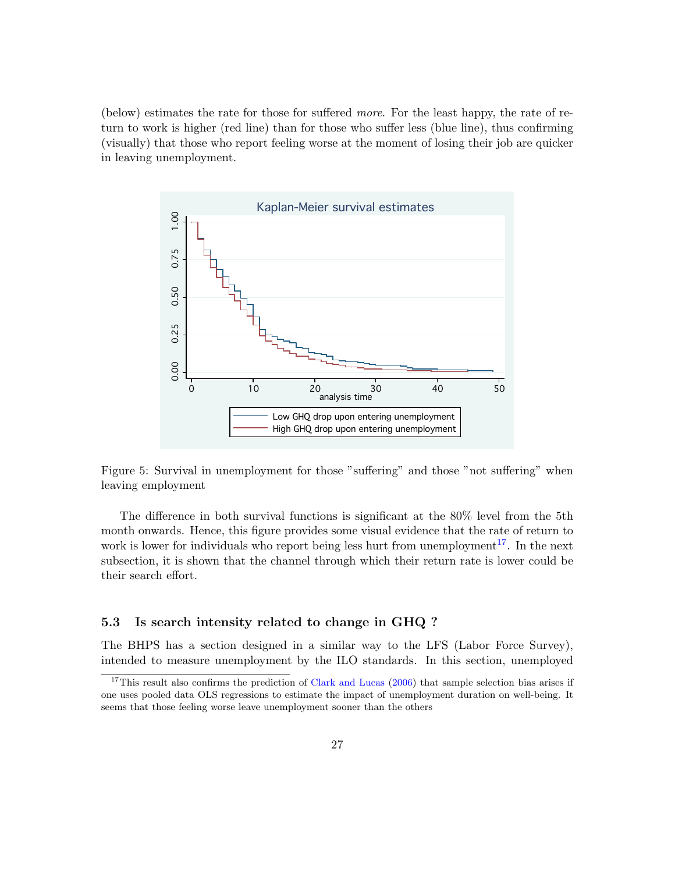(below) estimates the rate for those for suffered more. For the least happy, the rate of return to work is higher (red line) than for those who suffer less (blue line), thus confirming (visually) that those who report feeling worse at the moment of losing their job are quicker in leaving unemployment.



<span id="page-26-1"></span>Figure 5: Survival in unemployment for those "suffering" and those "not suffering" when leaving employment

The difference in both survival functions is significant at the 80% level from the 5th month onwards. Hence, this figure provides some visual evidence that the rate of return to work is lower for individuals who report being less hurt from unemployment<sup>[17](#page-26-2)</sup>. In the next subsection, it is shown that the channel through which their return rate is lower could be their search effort.

### <span id="page-26-0"></span>5.3 Is search intensity related to change in GHQ ?

The BHPS has a section designed in a similar way to the LFS (Labor Force Survey), intended to measure unemployment by the ILO standards. In this section, unemployed

<span id="page-26-2"></span> $17$ This result also confirms the prediction of [Clark and Lucas](#page-30-9) [\(2006\)](#page-30-9) that sample selection bias arises if one uses pooled data OLS regressions to estimate the impact of unemployment duration on well-being. It seems that those feeling worse leave unemployment sooner than the others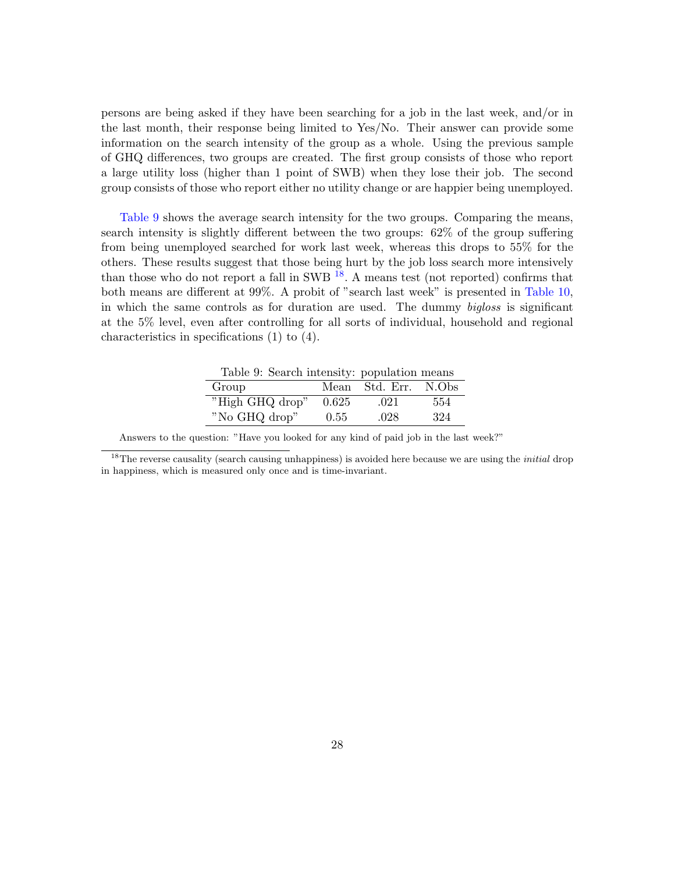persons are being asked if they have been searching for a job in the last week, and/or in the last month, their response being limited to Yes/No. Their answer can provide some information on the search intensity of the group as a whole. Using the previous sample of GHQ differences, two groups are created. The first group consists of those who report a large utility loss (higher than 1 point of SWB) when they lose their job. The second group consists of those who report either no utility change or are happier being unemployed.

[Table](#page-27-0) [9](#page-27-0) shows the average search intensity for the two groups. Comparing the means, search intensity is slightly different between the two groups: 62% of the group suffering from being unemployed searched for work last week, whereas this drops to 55% for the others. These results suggest that those being hurt by the job loss search more intensively than those who do not report a fall in SWB  $^{18}$  $^{18}$  $^{18}$ . A means test (not reported) confirms that both means are different at 99%. A probit of "search last week" is presented in [Table](#page-28-1) [10,](#page-28-1) in which the same controls as for duration are used. The dummy bigloss is significant at the 5% level, even after controlling for all sorts of individual, household and regional characteristics in specifications (1) to (4).

<span id="page-27-0"></span>

| Table 9: Search intensity: population means |       |                |       |
|---------------------------------------------|-------|----------------|-------|
| Group                                       |       | Mean Std. Err. | N.Obs |
| "High GHQ drop"                             | 0.625 | .021           | 554   |
| "No GHQ drop"                               | 0.55  | .028           | 324   |

<span id="page-27-1"></span>Answers to the question: "Have you looked for any kind of paid job in the last week?"

<sup>&</sup>lt;sup>18</sup>The reverse causality (search causing unhappiness) is avoided here because we are using the *initial* drop in happiness, which is measured only once and is time-invariant.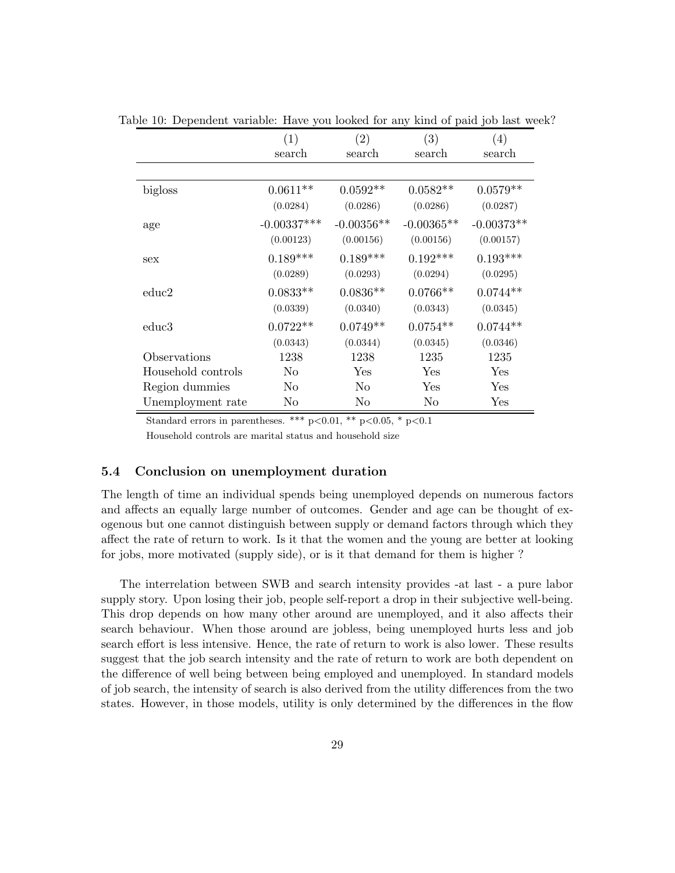<span id="page-28-1"></span>

|                    | (1)           | (2)          | (3)          | (4)          |
|--------------------|---------------|--------------|--------------|--------------|
|                    | search        | search       | search       | search       |
|                    |               |              |              |              |
| bigloss            | $0.0611**$    | $0.0592**$   | $0.0582**$   | $0.0579**$   |
|                    | (0.0284)      | (0.0286)     | (0.0286)     | (0.0287)     |
| age                | $-0.00337***$ | $-0.00356**$ | $-0.00365**$ | $-0.00373**$ |
|                    | (0.00123)     | (0.00156)    | (0.00156)    | (0.00157)    |
| sex                | $0.189***$    | $0.189***$   | $0.192***$   | $0.193***$   |
|                    | (0.0289)      | (0.0293)     | (0.0294)     | (0.0295)     |
| educ2              | $0.0833**$    | $0.0836**$   | $0.0766**$   | $0.0744**$   |
|                    | (0.0339)      | (0.0340)     | (0.0343)     | (0.0345)     |
| educ3              | $0.0722**$    | $0.0749**$   | $0.0754**$   | $0.0744**$   |
|                    | (0.0343)      | (0.0344)     | (0.0345)     | (0.0346)     |
| Observations       | 1238          | 1238         | 1235         | 1235         |
| Household controls | No            | Yes          | Yes          | Yes          |
| Region dummies     | No            | No           | Yes          | Yes          |
| Unemployment rate  | No            | No           | No           | Yes          |

Table 10: Dependent variable: Have you looked for any kind of paid job last week?

Standard errors in parentheses. \*\*\*  $p<0.01$ , \*\*  $p<0.05$ , \*  $p<0.1$ 

Household controls are marital status and household size

### <span id="page-28-0"></span>5.4 Conclusion on unemployment duration

The length of time an individual spends being unemployed depends on numerous factors and affects an equally large number of outcomes. Gender and age can be thought of exogenous but one cannot distinguish between supply or demand factors through which they affect the rate of return to work. Is it that the women and the young are better at looking for jobs, more motivated (supply side), or is it that demand for them is higher ?

The interrelation between SWB and search intensity provides -at last - a pure labor supply story. Upon losing their job, people self-report a drop in their subjective well-being. This drop depends on how many other around are unemployed, and it also affects their search behaviour. When those around are jobless, being unemployed hurts less and job search effort is less intensive. Hence, the rate of return to work is also lower. These results suggest that the job search intensity and the rate of return to work are both dependent on the difference of well being between being employed and unemployed. In standard models of job search, the intensity of search is also derived from the utility differences from the two states. However, in those models, utility is only determined by the differences in the flow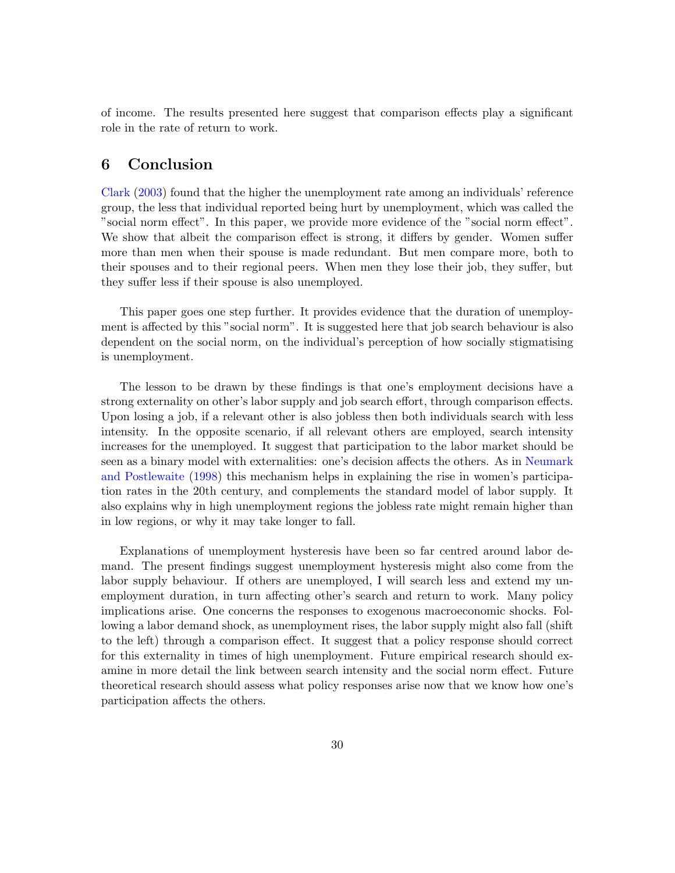of income. The results presented here suggest that comparison effects play a significant role in the rate of return to work.

# <span id="page-29-0"></span>6 Conclusion

[Clark](#page-30-0) [\(2003\)](#page-30-0) found that the higher the unemployment rate among an individuals' reference group, the less that individual reported being hurt by unemployment, which was called the "social norm effect". In this paper, we provide more evidence of the "social norm effect". We show that albeit the comparison effect is strong, it differs by gender. Women suffer more than men when their spouse is made redundant. But men compare more, both to their spouses and to their regional peers. When men they lose their job, they suffer, but they suffer less if their spouse is also unemployed.

This paper goes one step further. It provides evidence that the duration of unemployment is affected by this "social norm". It is suggested here that job search behaviour is also dependent on the social norm, on the individual's perception of how socially stigmatising is unemployment.

The lesson to be drawn by these findings is that one's employment decisions have a strong externality on other's labor supply and job search effort, through comparison effects. Upon losing a job, if a relevant other is also jobless then both individuals search with less intensity. In the opposite scenario, if all relevant others are employed, search intensity increases for the unemployed. It suggest that participation to the labor market should be seen as a binary model with externalities: one's decision affects the others. As in [Neumark](#page-31-13) [and Postlewaite](#page-31-13) [\(1998\)](#page-31-13) this mechanism helps in explaining the rise in women's participation rates in the 20th century, and complements the standard model of labor supply. It also explains why in high unemployment regions the jobless rate might remain higher than in low regions, or why it may take longer to fall.

Explanations of unemployment hysteresis have been so far centred around labor demand. The present findings suggest unemployment hysteresis might also come from the labor supply behaviour. If others are unemployed, I will search less and extend my unemployment duration, in turn affecting other's search and return to work. Many policy implications arise. One concerns the responses to exogenous macroeconomic shocks. Following a labor demand shock, as unemployment rises, the labor supply might also fall (shift to the left) through a comparison effect. It suggest that a policy response should correct for this externality in times of high unemployment. Future empirical research should examine in more detail the link between search intensity and the social norm effect. Future theoretical research should assess what policy responses arise now that we know how one's participation affects the others.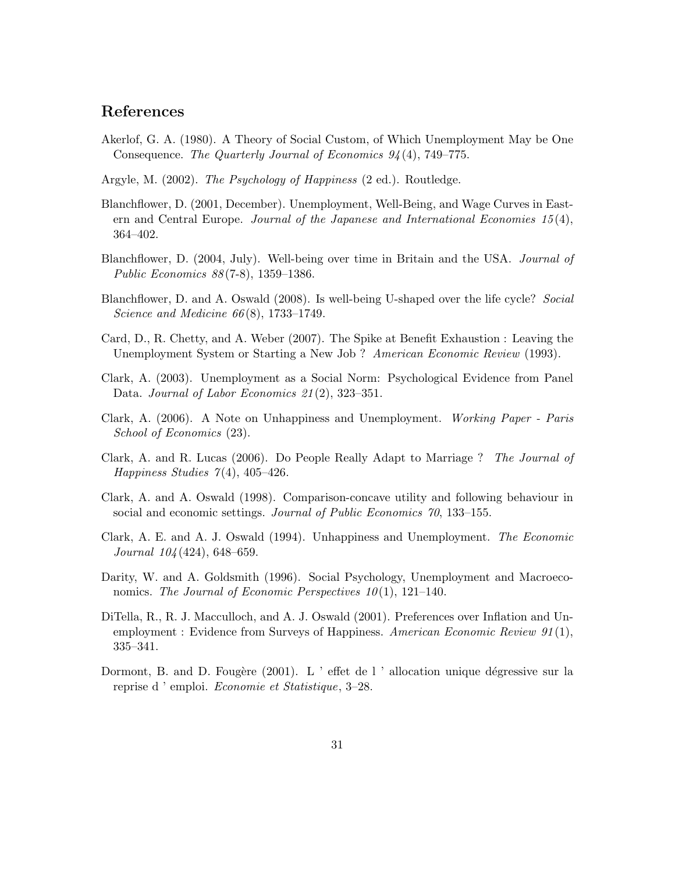# References

- <span id="page-30-8"></span>Akerlof, G. A. (1980). A Theory of Social Custom, of Which Unemployment May be One Consequence. The Quarterly Journal of Economics 94 (4), 749–775.
- <span id="page-30-5"></span>Argyle, M. (2002). The Psychology of Happiness (2 ed.). Routledge.
- <span id="page-30-6"></span>Blanchflower, D. (2001, December). Unemployment, Well-Being, and Wage Curves in Eastern and Central Europe. Journal of the Japanese and International Economies 15 (4), 364–402.
- <span id="page-30-3"></span>Blanchflower, D. (2004, July). Well-being over time in Britain and the USA. Journal of Public Economics 88 (7-8), 1359–1386.
- <span id="page-30-10"></span>Blanchflower, D. and A. Oswald (2008). Is well-being U-shaped over the life cycle? Social Science and Medicine 66(8), 1733–1749.
- <span id="page-30-13"></span>Card, D., R. Chetty, and A. Weber (2007). The Spike at Benefit Exhaustion : Leaving the Unemployment System or Starting a New Job ? American Economic Review (1993).
- <span id="page-30-0"></span>Clark, A. (2003). Unemployment as a Social Norm: Psychological Evidence from Panel Data. Journal of Labor Economics 21(2), 323-351.
- <span id="page-30-11"></span>Clark, A. (2006). A Note on Unhappiness and Unemployment. Working Paper - Paris School of Economics (23).
- <span id="page-30-9"></span>Clark, A. and R. Lucas (2006). Do People Really Adapt to Marriage ? The Journal of Happiness Studies  $7(4)$ , 405-426.
- <span id="page-30-4"></span>Clark, A. and A. Oswald (1998). Comparison-concave utility and following behaviour in social and economic settings. Journal of Public Economics 70, 133–155.
- <span id="page-30-2"></span>Clark, A. E. and A. J. Oswald (1994). Unhappiness and Unemployment. The Economic Journal 104 (424), 648–659.
- <span id="page-30-1"></span>Darity, W. and A. Goldsmith (1996). Social Psychology, Unemployment and Macroeconomics. The Journal of Economic Perspectives  $10(1)$ , 121–140.
- <span id="page-30-7"></span>DiTella, R., R. J. Macculloch, and A. J. Oswald (2001). Preferences over Inflation and Unemployment : Evidence from Surveys of Happiness. American Economic Review 91(1), 335–341.
- <span id="page-30-12"></span>Dormont, B. and D. Fougère (2001). L ' effet de l ' allocation unique dégressive sur la reprise d ' emploi. Economie et Statistique, 3–28.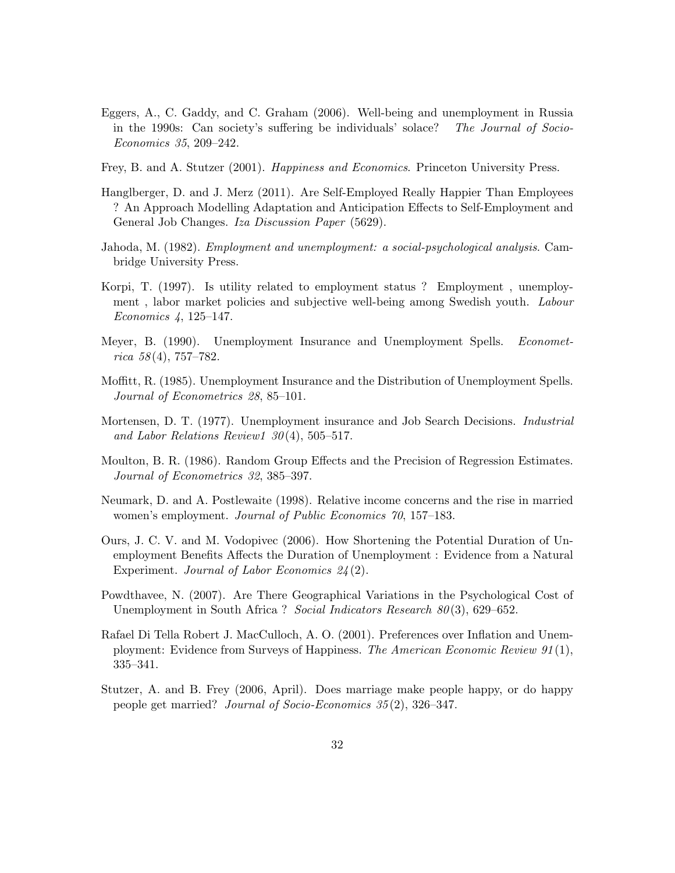- <span id="page-31-4"></span>Eggers, A., C. Gaddy, and C. Graham (2006). Well-being and unemployment in Russia in the 1990s: Can society's suffering be individuals' solace? The Journal of Socio-Economics 35, 209–242.
- <span id="page-31-2"></span>Frey, B. and A. Stutzer (2001). Happiness and Economics. Princeton University Press.
- <span id="page-31-7"></span>Hanglberger, D. and J. Merz (2011). Are Self-Employed Really Happier Than Employees ? An Approach Modelling Adaptation and Anticipation Effects to Self-Employment and General Job Changes. Iza Discussion Paper (5629).
- <span id="page-31-0"></span>Jahoda, M. (1982). Employment and unemployment: a social-psychological analysis. Cambridge University Press.
- <span id="page-31-1"></span>Korpi, T. (1997). Is utility related to employment status ? Employment , unemployment , labor market policies and subjective well-being among Swedish youth. Labour Economics 4, 125–147.
- <span id="page-31-10"></span>Meyer, B. (1990). Unemployment Insurance and Unemployment Spells. Economet $rica 58(4), 757-782.$
- <span id="page-31-11"></span>Moffitt, R. (1985). Unemployment Insurance and the Distribution of Unemployment Spells. Journal of Econometrics 28, 85–101.
- <span id="page-31-9"></span>Mortensen, D. T. (1977). Unemployment insurance and Job Search Decisions. Industrial and Labor Relations Review1  $30(4)$ , 505–517.
- <span id="page-31-8"></span>Moulton, B. R. (1986). Random Group Effects and the Precision of Regression Estimates. Journal of Econometrics 32, 385–397.
- <span id="page-31-13"></span>Neumark, D. and A. Postlewaite (1998). Relative income concerns and the rise in married women's employment. Journal of Public Economics 70, 157–183.
- <span id="page-31-12"></span>Ours, J. C. V. and M. Vodopivec (2006). How Shortening the Potential Duration of Unemployment Benefits Affects the Duration of Unemployment : Evidence from a Natural Experiment. Journal of Labor Economics 24(2).
- <span id="page-31-5"></span>Powdthavee, N. (2007). Are There Geographical Variations in the Psychological Cost of Unemployment in South Africa ? Social Indicators Research  $80(3)$ , 629–652.
- <span id="page-31-3"></span>Rafael Di Tella Robert J. MacCulloch, A. O. (2001). Preferences over Inflation and Unemployment: Evidence from Surveys of Happiness. The American Economic Review 91 (1), 335–341.
- <span id="page-31-6"></span>Stutzer, A. and B. Frey (2006, April). Does marriage make people happy, or do happy people get married? Journal of Socio-Economics 35 (2), 326–347.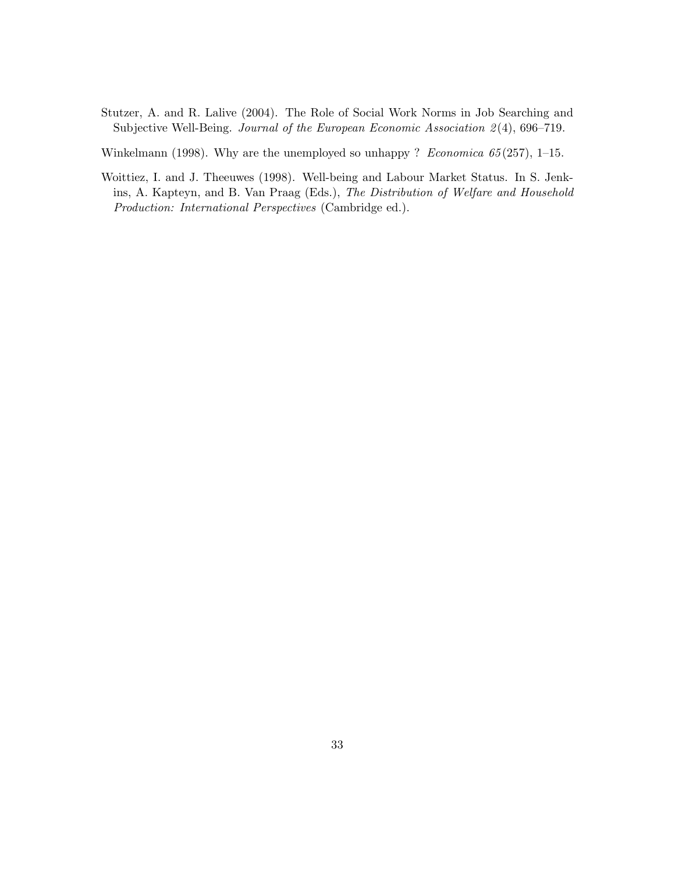<span id="page-32-2"></span>Stutzer, A. and R. Lalive (2004). The Role of Social Work Norms in Job Searching and Subjective Well-Being. Journal of the European Economic Association 2(4), 696–719.

<span id="page-32-0"></span>Winkelmann (1998). Why are the unemployed so unhappy ? Economica  $65(257)$ , 1–15.

<span id="page-32-1"></span>Woittiez, I. and J. Theeuwes (1998). Well-being and Labour Market Status. In S. Jenkins, A. Kapteyn, and B. Van Praag (Eds.), The Distribution of Welfare and Household Production: International Perspectives (Cambridge ed.).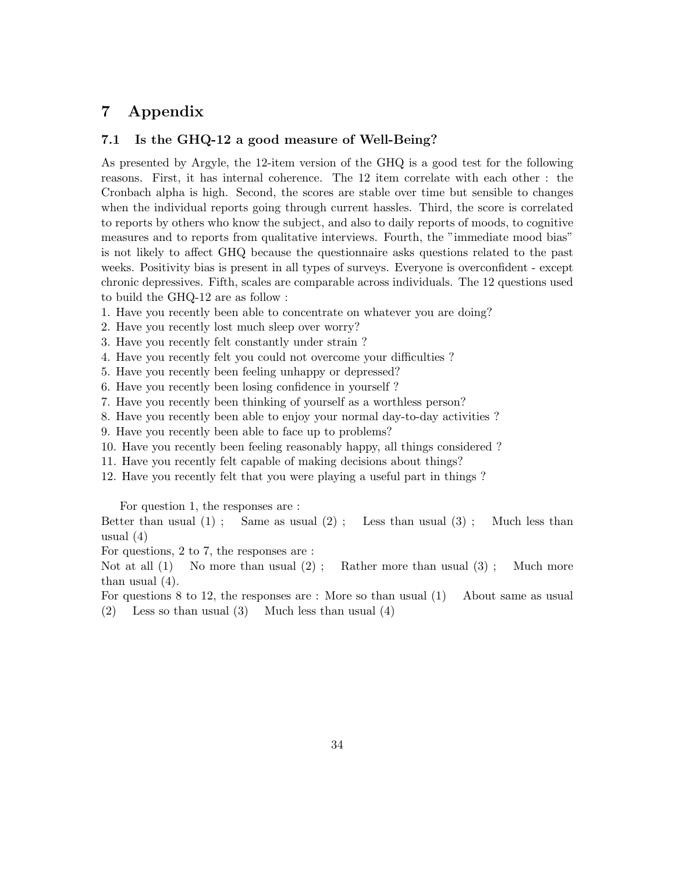# <span id="page-33-0"></span>7 Appendix

### <span id="page-33-1"></span>7.1 Is the GHQ-12 a good measure of Well-Being?

As presented by Argyle, the 12-item version of the GHQ is a good test for the following reasons. First, it has internal coherence. The 12 item correlate with each other : the Cronbach alpha is high. Second, the scores are stable over time but sensible to changes when the individual reports going through current hassles. Third, the score is correlated to reports by others who know the subject, and also to daily reports of moods, to cognitive measures and to reports from qualitative interviews. Fourth, the "immediate mood bias" is not likely to affect GHQ because the questionnaire asks questions related to the past weeks. Positivity bias is present in all types of surveys. Everyone is overconfident - except chronic depressives. Fifth, scales are comparable across individuals. The 12 questions used to build the GHQ-12 are as follow :

- 1. Have you recently been able to concentrate on whatever you are doing?
- 2. Have you recently lost much sleep over worry?
- 3. Have you recently felt constantly under strain ?
- 4. Have you recently felt you could not overcome your difficulties ?
- 5. Have you recently been feeling unhappy or depressed?
- 6. Have you recently been losing confidence in yourself ?
- 7. Have you recently been thinking of yourself as a worthless person?
- 8. Have you recently been able to enjoy your normal day-to-day activities ?
- 9. Have you recently been able to face up to problems?
- 10. Have you recently been feeling reasonably happy, all things considered ?
- 11. Have you recently felt capable of making decisions about things?
- 12. Have you recently felt that you were playing a useful part in things ?

For question 1, the responses are :

Better than usual  $(1)$ ; Same as usual  $(2)$ ; Less than usual  $(3)$ ; Much less than usual (4)

For questions, 2 to 7, the responses are :

Not at all  $(1)$  No more than usual  $(2)$ ; Rather more than usual  $(3)$ ; Much more than usual (4).

- For questions 8 to 12, the responses are : More so than usual (1) About same as usual
- (2) Less so than usual (3) Much less than usual (4)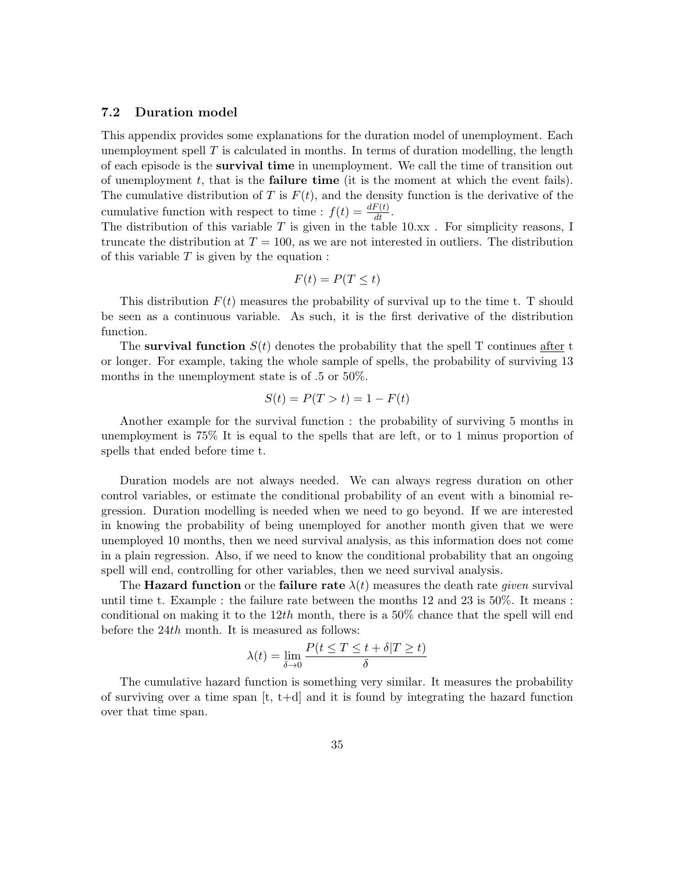### <span id="page-34-0"></span>7.2 Duration model

This appendix provides some explanations for the duration model of unemployment. Each unemployment spell  $T$  is calculated in months. In terms of duration modelling, the length of each episode is the survival time in unemployment. We call the time of transition out of unemployment  $t$ , that is the **failure time** (it is the moment at which the event fails). The cumulative distribution of T is  $F(t)$ , and the density function is the derivative of the cumulative function with respect to time :  $f(t) = \frac{dF(t)}{dt}$ .

The distribution of this variable T is given in the table  $10.xx$ . For simplicity reasons, I truncate the distribution at  $T = 100$ , as we are not interested in outliers. The distribution of this variable  $T$  is given by the equation :

$$
F(t) = P(T \le t)
$$

This distribution  $F(t)$  measures the probability of survival up to the time t. T should be seen as a continuous variable. As such, it is the first derivative of the distribution function.

The survival function  $S(t)$  denotes the probability that the spell T continues after t or longer. For example, taking the whole sample of spells, the probability of surviving 13 months in the unemployment state is of .5 or 50%.

$$
S(t) = P(T > t) = 1 - F(t)
$$

Another example for the survival function : the probability of surviving 5 months in unemployment is 75% It is equal to the spells that are left, or to 1 minus proportion of spells that ended before time t.

Duration models are not always needed. We can always regress duration on other control variables, or estimate the conditional probability of an event with a binomial regression. Duration modelling is needed when we need to go beyond. If we are interested in knowing the probability of being unemployed for another month given that we were unemployed 10 months, then we need survival analysis, as this information does not come in a plain regression. Also, if we need to know the conditional probability that an ongoing spell will end, controlling for other variables, then we need survival analysis.

The **Hazard function** or the **failure rate**  $\lambda(t)$  measures the death rate *given* survival until time t. Example : the failure rate between the months 12 and 23 is 50%. It means : conditional on making it to the  $12th$  month, there is a 50% chance that the spell will end before the 24th month. It is measured as follows:

$$
\lambda(t) = \lim_{\delta \to 0} \frac{P(t \le T \le t + \delta | T \ge t)}{\delta}
$$

The cumulative hazard function is something very similar. It measures the probability of surviving over a time span  $[t, t+d]$  and it is found by integrating the hazard function over that time span.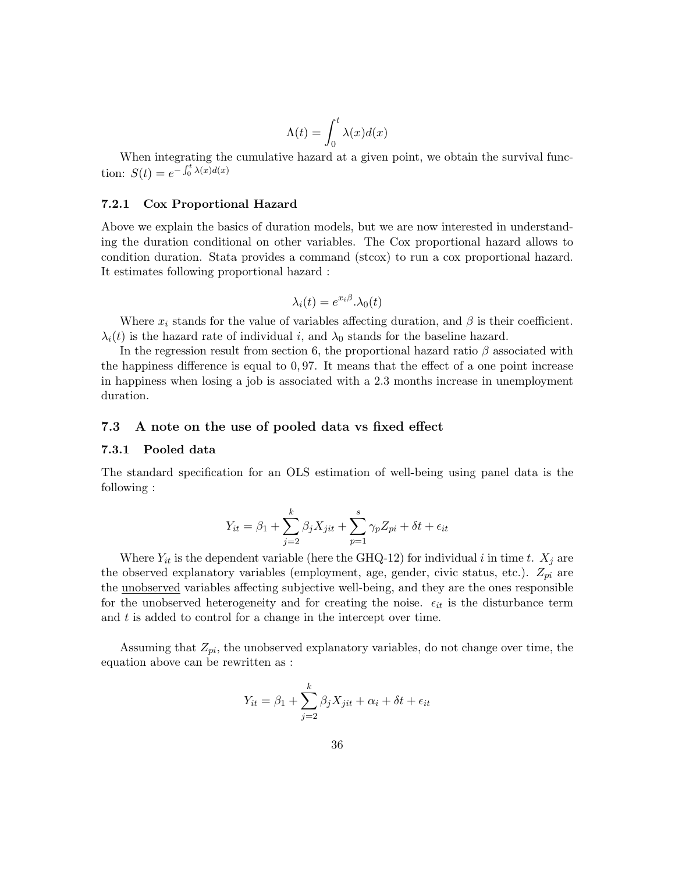$$
\Lambda(t)=\int_0^t\lambda(x)d(x)
$$

When integrating the cumulative hazard at a given point, we obtain the survival function:  $S(t) = e^{-\int_0^t \lambda(x) d(x)}$ 

#### <span id="page-35-0"></span>7.2.1 Cox Proportional Hazard

Above we explain the basics of duration models, but we are now interested in understanding the duration conditional on other variables. The Cox proportional hazard allows to condition duration. Stata provides a command (stcox) to run a cox proportional hazard. It estimates following proportional hazard :

$$
\lambda_i(t) = e^{x_i \beta} \cdot \lambda_0(t)
$$

Where  $x_i$  stands for the value of variables affecting duration, and  $\beta$  is their coefficient.  $\lambda_i(t)$  is the hazard rate of individual i, and  $\lambda_0$  stands for the baseline hazard.

In the regression result from section 6, the proportional hazard ratio  $\beta$  associated with the happiness difference is equal to 0, 97. It means that the effect of a one point increase in happiness when losing a job is associated with a 2.3 months increase in unemployment duration.

### <span id="page-35-1"></span>7.3 A note on the use of pooled data vs fixed effect

#### <span id="page-35-2"></span>7.3.1 Pooled data

The standard specification for an OLS estimation of well-being using panel data is the following :

$$
Y_{it} = \beta_1 + \sum_{j=2}^{k} \beta_j X_{jit} + \sum_{p=1}^{s} \gamma_p Z_{pi} + \delta t + \epsilon_{it}
$$

Where  $Y_{it}$  is the dependent variable (here the GHQ-12) for individual i in time t.  $X_j$  are the observed explanatory variables (employment, age, gender, civic status, etc.).  $Z_{pi}$  are the unobserved variables affecting subjective well-being, and they are the ones responsible for the unobserved heterogeneity and for creating the noise.  $\epsilon_{it}$  is the disturbance term and  $t$  is added to control for a change in the intercept over time.

Assuming that  $Z_{pi}$ , the unobserved explanatory variables, do not change over time, the equation above can be rewritten as :

$$
Y_{it} = \beta_1 + \sum_{j=2}^{k} \beta_j X_{jit} + \alpha_i + \delta t + \epsilon_{it}
$$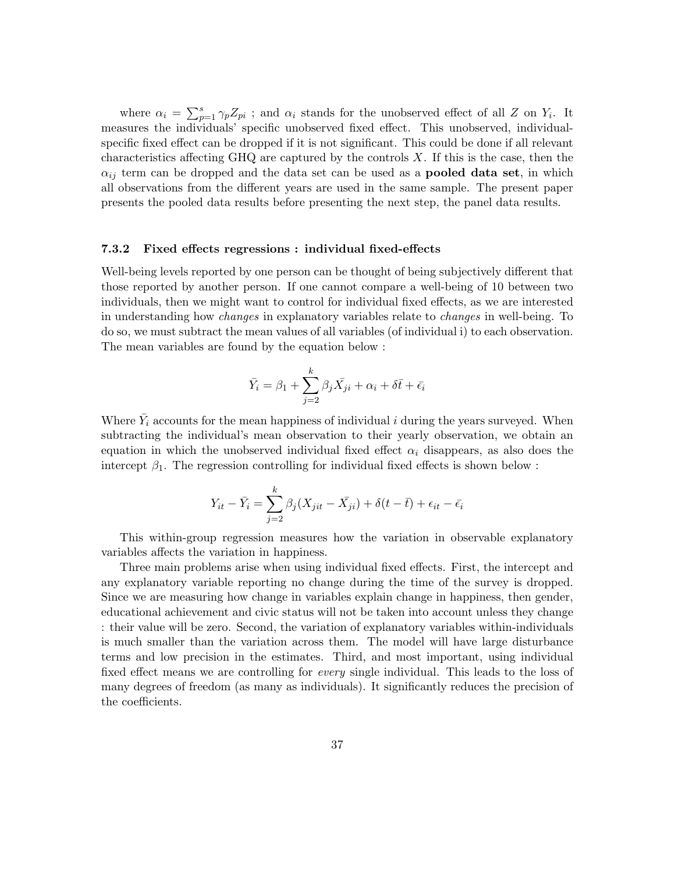where  $\alpha_i = \sum_{p=1}^s \gamma_p Z_{pi}$ ; and  $\alpha_i$  stands for the unobserved effect of all Z on  $Y_i$ . It measures the individuals' specific unobserved fixed effect. This unobserved, individualspecific fixed effect can be dropped if it is not significant. This could be done if all relevant characteristics affecting  $GHQ$  are captured by the controls  $X$ . If this is the case, then the  $\alpha_{ij}$  term can be dropped and the data set can be used as a **pooled data set**, in which all observations from the different years are used in the same sample. The present paper presents the pooled data results before presenting the next step, the panel data results.

#### <span id="page-36-0"></span>7.3.2 Fixed effects regressions : individual fixed-effects

Well-being levels reported by one person can be thought of being subjectively different that those reported by another person. If one cannot compare a well-being of 10 between two individuals, then we might want to control for individual fixed effects, as we are interested in understanding how changes in explanatory variables relate to changes in well-being. To do so, we must subtract the mean values of all variables (of individual i) to each observation. The mean variables are found by the equation below :

$$
\bar{Y}_i = \beta_1 + \sum_{j=2}^k \beta_j \bar{X}_{ji} + \alpha_i + \delta \bar{t} + \bar{\epsilon}_i
$$

Where  $\bar{Y}_i$  accounts for the mean happiness of individual i during the years surveyed. When subtracting the individual's mean observation to their yearly observation, we obtain an equation in which the unobserved individual fixed effect  $\alpha_i$  disappears, as also does the intercept  $\beta_1$ . The regression controlling for individual fixed effects is shown below :

$$
Y_{it} - \bar{Y}_i = \sum_{j=2}^{k} \beta_j (X_{jit} - \bar{X}_{ji}) + \delta(t - \bar{t}) + \epsilon_{it} - \bar{\epsilon}_i
$$

This within-group regression measures how the variation in observable explanatory variables affects the variation in happiness.

Three main problems arise when using individual fixed effects. First, the intercept and any explanatory variable reporting no change during the time of the survey is dropped. Since we are measuring how change in variables explain change in happiness, then gender, educational achievement and civic status will not be taken into account unless they change : their value will be zero. Second, the variation of explanatory variables within-individuals is much smaller than the variation across them. The model will have large disturbance terms and low precision in the estimates. Third, and most important, using individual fixed effect means we are controlling for every single individual. This leads to the loss of many degrees of freedom (as many as individuals). It significantly reduces the precision of the coefficients.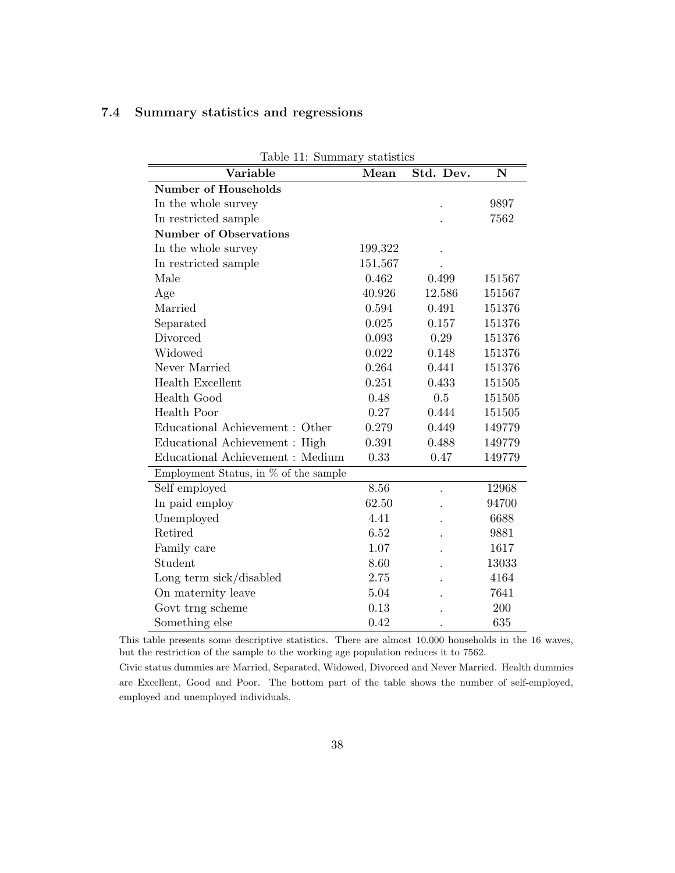# <span id="page-37-0"></span>7.4 Summary statistics and regressions

| Table 11: Summary statistics          |         |           |        |  |
|---------------------------------------|---------|-----------|--------|--|
| Variable                              | Mean    | Std. Dev. | N      |  |
| <b>Number of Households</b>           |         |           |        |  |
| In the whole survey                   |         |           | 9897   |  |
| In restricted sample                  |         |           | 7562   |  |
| <b>Number of Observations</b>         |         |           |        |  |
| In the whole survey                   | 199,322 |           |        |  |
| In restricted sample                  | 151,567 |           |        |  |
| Male                                  | 0.462   | 0.499     | 151567 |  |
| Age                                   | 40.926  | 12.586    | 151567 |  |
| Married                               | 0.594   | 0.491     | 151376 |  |
| Separated                             | 0.025   | 0.157     | 151376 |  |
| Divorced                              | 0.093   | 0.29      | 151376 |  |
| Widowed                               | 0.022   | 0.148     | 151376 |  |
| Never Married                         | 0.264   | 0.441     | 151376 |  |
| <b>Health Excellent</b>               | 0.251   | 0.433     | 151505 |  |
| Health Good                           | 0.48    | 0.5       | 151505 |  |
| <b>Health Poor</b>                    | 0.27    | 0.444     | 151505 |  |
| Educational Achievement : Other       | 0.279   | 0.449     | 149779 |  |
| Educational Achievement : High        | 0.391   | 0.488     | 149779 |  |
| Educational Achievement : Medium      | 0.33    | 0.47      | 149779 |  |
| Employment Status, in % of the sample |         |           |        |  |
| Self employed                         | 8.56    |           | 12968  |  |
| In paid employ                        | 62.50   |           | 94700  |  |
| Unemployed                            | 4.41    |           | 6688   |  |
| Retired                               | 6.52    |           | 9881   |  |
| Family care                           | 1.07    |           | 1617   |  |
| Student                               | 8.60    |           | 13033  |  |
| Long term sick/disabled               | 2.75    |           | 4164   |  |
| On maternity leave                    | 5.04    |           | 7641   |  |
| Govt trng scheme                      | 0.13    |           | 200    |  |
| Something else                        | 0.42    |           | 635    |  |

<span id="page-37-1"></span> $T$  11:  $T$   $T$   $T$   $T$   $T$   $T$   $T$   $T$   $T$ 

This table presents some descriptive statistics. There are almost 10.000 households in the 16 waves, but the restriction of the sample to the working age population reduces it to 7562.

Civic status dummies are Married, Separated, Widowed, Divorced and Never Married. Health dummies are Excellent, Good and Poor. The bottom part of the table shows the number of self-employed, employed and unemployed individuals.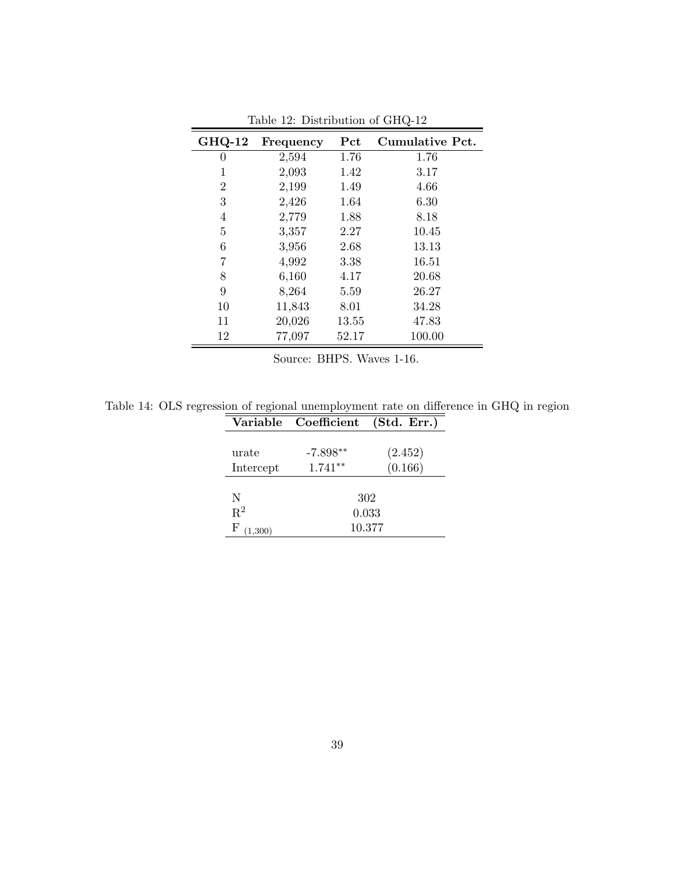| <b>GHQ-12</b>    | Frequency | Pct   | Cumulative Pct. |
|------------------|-----------|-------|-----------------|
| $\left( \right)$ | 2,594     | 1.76  | 1.76            |
| 1                | 2,093     | 1.42  | 3.17            |
| $\overline{2}$   | 2,199     | 1.49  | 4.66            |
| 3                | 2,426     | 1.64  | 6.30            |
| 4                | 2,779     | 1.88  | 8.18            |
| 5                | 3,357     | 2.27  | 10.45           |
| 6                | 3,956     | 2.68  | 13.13           |
| 7                | 4,992     | 3.38  | 16.51           |
| 8                | 6,160     | 4.17  | 20.68           |
| 9                | 8,264     | 5.59  | 26.27           |
| 10               | 11,843    | 8.01  | 34.28           |
| 11               | 20,026    | 13.55 | 47.83           |
| 12               | 77,097    | 52.17 | 100.00          |

<span id="page-38-0"></span>Table 12: Distribution of GHQ-12

Source: BHPS. Waves 1-16.

<span id="page-38-1"></span>Table 14: OLS regression of regional unemployment rate on difference in GHQ in region

|             | Variable Coefficient | (Std. Err.) |
|-------------|----------------------|-------------|
|             |                      |             |
| urate       | $-7.898**$           | (2.452)     |
| Intercept   | $1.741**$            | (0.166)     |
|             |                      |             |
| N           |                      | 302         |
| $R^2$       |                      | 0.033       |
| F<br>1,300) |                      | 10.377      |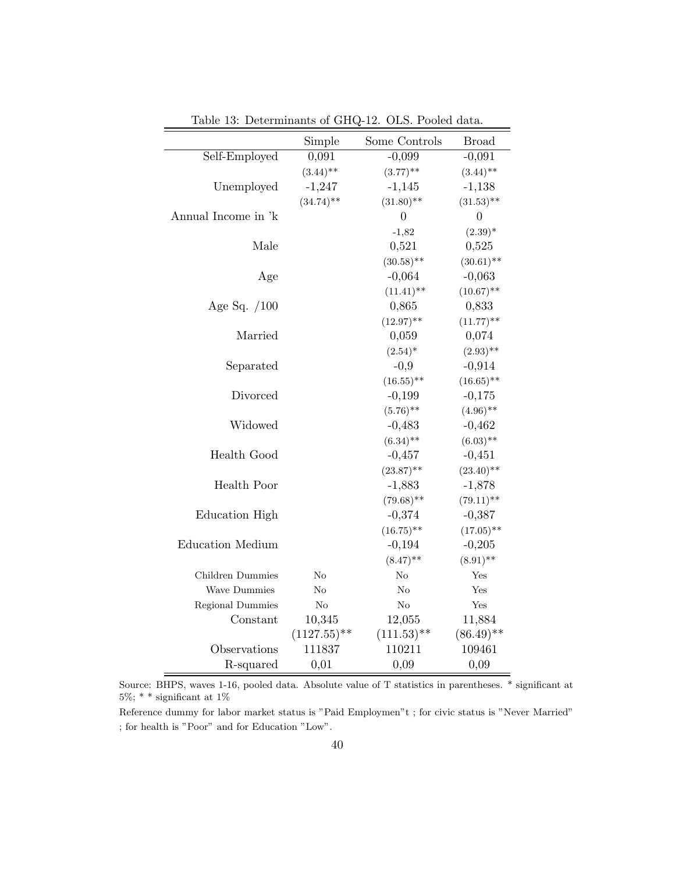|                         | Simple           | Some Controls            | <b>Broad</b>   |
|-------------------------|------------------|--------------------------|----------------|
| Self-Employed           | 0,091            | $-0,099$                 | $-0,091$       |
|                         | $(3.44)$ **      | $(3.77)$ **              | $(3.44)$ **    |
| Unemployed              | $-1,247$         | $-1,145$                 | $-1,138$       |
|                         | $(34.74)$ **     | $(31.80)$ **             | $(31.53)$ **   |
| Annual Income in 'k     |                  | 0                        | $\overline{0}$ |
|                         |                  | $-1,82$                  | $(2.39)^*$     |
| Male                    |                  | 0,521                    | 0,525          |
|                         |                  | $(30.58)$ **             | $(30.61)$ **   |
| Age                     |                  | $-0,064$                 | $-0,063$       |
|                         |                  | $(11.41)$ **             | $(10.67)$ **   |
| Age Sq. $/100$          |                  | 0,865                    | 0,833          |
|                         |                  | $(12.97)$ **             | $(11.77)$ **   |
| Married                 |                  | 0,059                    | 0,074          |
|                         |                  | $(2.54)^*$               | $(2.93)$ **    |
| Separated               |                  | $-0,9$                   | $-0,914$       |
|                         |                  | $(16.55)$ **             | $(16.65)$ **   |
| Divorced                |                  | $-0,199$                 | $-0,175$       |
|                         |                  | $(5.76)$ **              | $(4.96)$ **    |
| Widowed                 |                  | $-0,483$                 | $-0,462$       |
|                         |                  | $(6.34)$ **              | $(6.03)$ **    |
| Health Good             |                  | $-0,457$                 | $-0,451$       |
|                         |                  | $(23.87)$ **             | $(23.40)$ **   |
| Health Poor             |                  | $-1,883$                 | $-1,878$       |
|                         |                  | $(79.68)$ **             | $(79.11)$ **   |
| Education High          |                  | $-0,374$                 | $-0,387$       |
|                         |                  | $(16.75)$ **             | $(17.05)$ **   |
| <b>Education Medium</b> |                  | $-0,194$                 | $-0,205$       |
|                         |                  | $(8.47)$ **              | $(8.91)$ **    |
| Children Dummies        | $\rm No$         | No                       | Yes            |
| Wave Dummies            | No               | No                       | Yes            |
| Regional Dummies        | No               | No                       | Yes            |
| Constant                | 10,345           | 12,055                   | 11,884         |
|                         | $(1127.55)^{**}$ | $(111.53)$ <sup>**</sup> | $(86.49)$ **   |
| Observations            | 111837           | 110211                   | 109461         |
| R-squared               | 0,01             | 0,09                     | 0,09           |

<span id="page-39-0"></span>Table 13: Determinants of GHQ-12. OLS. Pooled data.

Source: BHPS, waves 1-16, pooled data. Absolute value of T statistics in parentheses. \* significant at  $5\%;$  \* \* significant at  $1\%$ 

Reference dummy for labor market status is "Paid Employmen"t ; for civic status is "Never Married" ; for health is "Poor" and for Education "Low".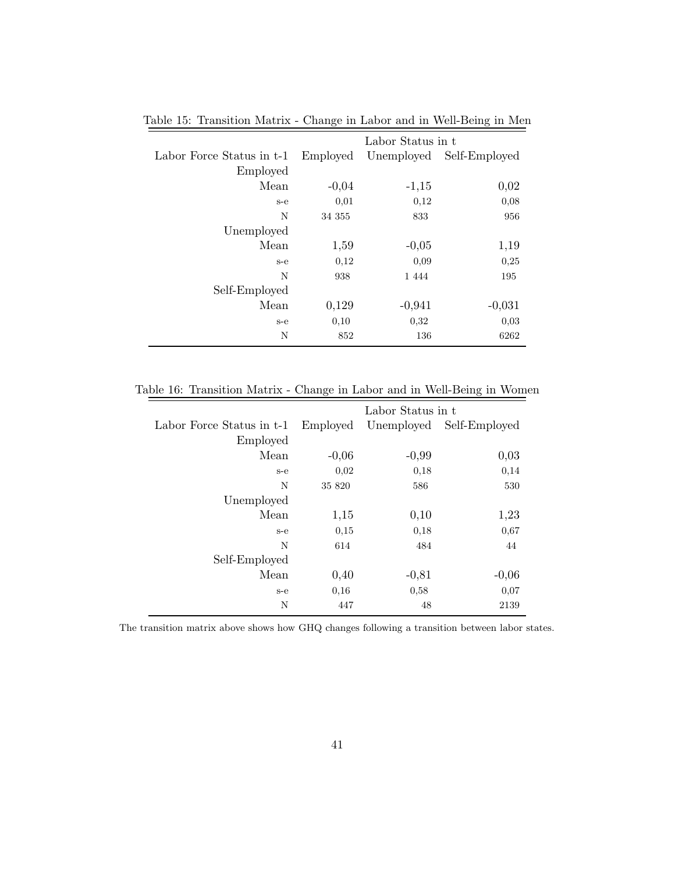|                           |          | Labor Status in t |               |
|---------------------------|----------|-------------------|---------------|
| Labor Force Status in t-1 | Employed | Unemployed        | Self-Employed |
| Employed                  |          |                   |               |
| Mean                      | $-0,04$  | $-1,15$           | 0,02          |
| $s-e$                     | 0,01     | 0,12              | 0,08          |
| N                         | 34 355   | 833               | 956           |
| Unemployed                |          |                   |               |
| Mean                      | 1,59     | $-0,05$           | 1,19          |
| $s-e$                     | 0,12     | 0,09              | 0,25          |
| N                         | 938      | 1 4 4 4           | 195           |
| Self-Employed             |          |                   |               |
| Mean                      | 0,129    | $-0,941$          | $-0,031$      |
| $s-e$                     | 0,10     | 0,32              | 0,03          |
| N                         | 852      | 136               | 6262          |
|                           |          |                   |               |

<span id="page-40-0"></span>Table 15: Transition Matrix - Change in Labor and in Well-Being in Men

Table 16: Transition Matrix - Change in Labor and in Well-Being in Women

<span id="page-40-1"></span>

|                           |          | Labor Status in t |                          |
|---------------------------|----------|-------------------|--------------------------|
| Labor Force Status in t-1 | Employed |                   | Unemployed Self-Employed |
| Employed                  |          |                   |                          |
| Mean                      | $-0,06$  | $-0,99$           | 0,03                     |
| $s-e$                     | 0,02     | 0,18              | 0,14                     |
| N                         | 35 820   | 586               | 530                      |
| Unemployed                |          |                   |                          |
| Mean                      | 1,15     | 0,10              | 1,23                     |
| $s-e$                     | 0,15     | 0,18              | 0,67                     |
| N                         | 614      | 484               | 44                       |
| Self-Employed             |          |                   |                          |
| Mean                      | 0,40     | $-0,81$           | $-0,06$                  |
| $s-e$                     | 0.16     | 0,58              | 0.07                     |
| N                         | 447      | 48                | 2139                     |

The transition matrix above shows how GHQ changes following a transition between labor states.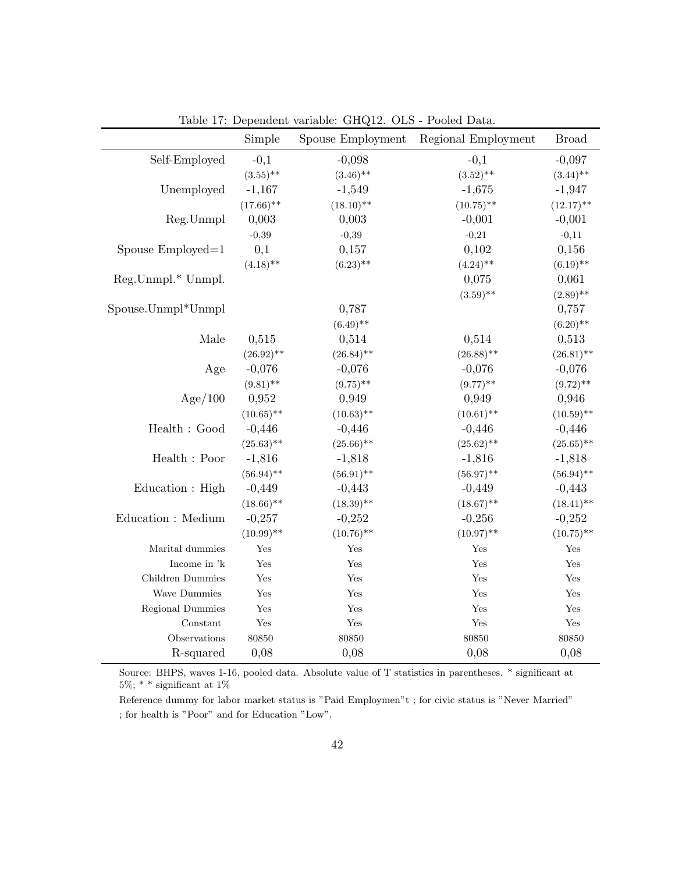|                                                 | Simple               | Spouse Employment | Regional Employment | <b>Broad</b>         |
|-------------------------------------------------|----------------------|-------------------|---------------------|----------------------|
| Self-Employed                                   | $-0,1$               | $-0,098$          | $-0,1$              | $-0,097$             |
|                                                 | $(3.55)$ **          | $(3.46)$ **       | $(3.52)$ **         | $(3.44)$ **          |
| Unemployed                                      | $-1,167$             | $-1,549$          | $-1,675$            | $-1,947$             |
|                                                 | $(17.66)$ **         | $(18.10)$ **      | $(10.75)$ **        | $(12.17)$ **         |
| Reg.Unmpl                                       | 0,003                | 0,003             | $-0,001$            | $-0,001$             |
|                                                 | $-0,39$              | $-0,39$           | $-0,21$             | $-0,11$              |
| Spouse Employed=1                               | 0,1                  | 0,157             | 0,102               | 0,156                |
|                                                 | $(4.18)$ **          | $(6.23)$ **       | $(4.24)$ **         | $(6.19)$ **          |
| Reg.Unmpl.* Unmpl.                              |                      |                   | 0,075               | 0,061                |
|                                                 |                      |                   | $(3.59)$ **         | $(2.89)$ **          |
| Spouse.Unmpl*Unmpl                              |                      | 0,787             |                     | 0,757                |
|                                                 |                      | $(6.49)$ **       |                     | $(6.20)$ **          |
| Male                                            | 0,515                | 0,514             | 0,514               | 0,513                |
|                                                 | $(26.92)$ **         | $(26.84)$ **      | $(26.88)$ **        | $(26.81)$ **         |
| Age                                             | $-0,076$             | $-0,076$          | $-0,076$            | $-0,076$             |
|                                                 | $(9.81)$ **          | $(9.75)$ **       | $(9.77)$ **         | $(9.72)$ **          |
| Age/100                                         | 0,952                | 0,949             | 0,949               | 0,946                |
|                                                 | $(10.65)$ **         | $(10.63)$ **      | $(10.61)$ **        | $(10.59)$ **         |
| Health : Good                                   | $-0,446$             | $-0,446$          | $-0,446$            | $-0,446$             |
|                                                 | $(25.63)$ **         | $(25.66)$ **      | $(25.62)$ **        | $(25.65)$ **         |
| $\operatorname{Health}$ : $\operatorname{Poor}$ | $-1,816$             | $-1,818$          | $-1,816$            | $-1,818$             |
|                                                 | $(56.94)$ **         | $(56.91)$ **      | $(56.97)$ **        | $(56.94)$ **         |
| Education : High                                | $-0,449$             | $-0,443$          | $-0,449$            | $-0,443$             |
|                                                 | $(18.66)$ **         | $(18.39)$ **      | $(18.67)$ **        | $(18.41)$ **         |
| Education : Medium                              | $-0,257$             | $-0,252$          | $-0,256$            | $-0,252$             |
|                                                 | $(10.99)$ **         | $(10.76)$ **      | $(10.97)$ **        | $(10.75)$ **         |
| Marital dummies                                 | Yes                  | Yes               | Yes                 | Yes                  |
| Income in 'k                                    | Yes                  | Yes               | Yes                 | Yes                  |
| Children Dummies                                | Yes                  | Yes               | Yes                 | Yes                  |
| Wave Dummies                                    | Yes                  | Yes               | Yes                 | $\operatorname{Yes}$ |
| Regional Dummies                                | Yes                  | Yes               | Yes                 | $\operatorname{Yes}$ |
| Constant                                        | $\operatorname{Yes}$ | Yes               | Yes                 | $\operatorname{Yes}$ |
| Observations                                    | 80850                | 80850             | 80850               | 80850                |
| R-squared                                       | 0,08                 | 0,08              | 0,08                | 0,08                 |

<span id="page-41-0"></span>Table 17: Dependent variable: GHQ12. OLS - Pooled Data.

Source: BHPS, waves 1-16, pooled data. Absolute value of T statistics in parentheses. \* significant at  $5\%;$  \* \* significant at  $1\%$ 

Reference dummy for labor market status is "Paid Employmen"t ; for civic status is "Never Married" ; for health is "Poor" and for Education "Low".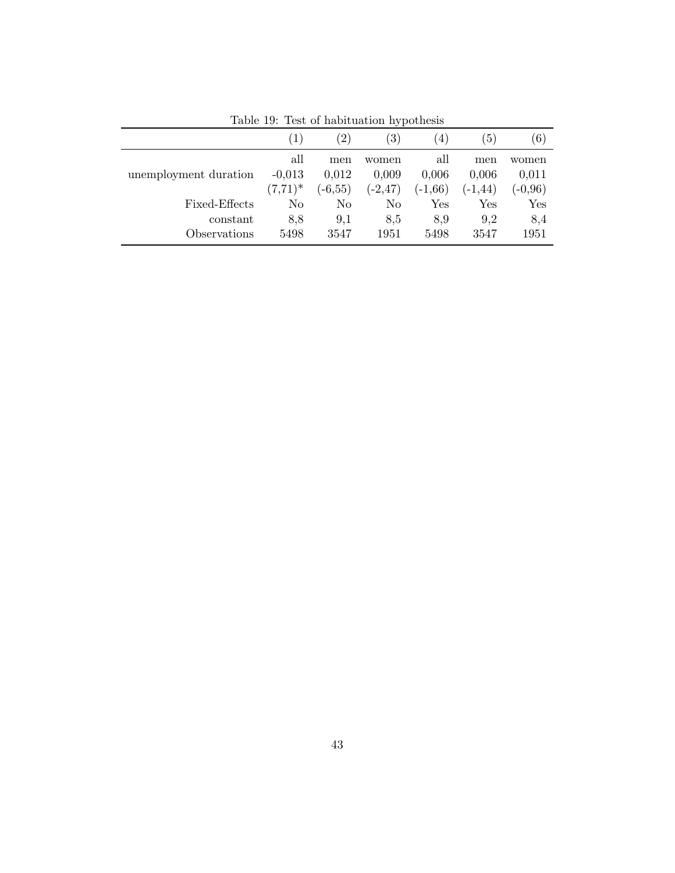|                       | $\left( 1\right)$ | $^{'}2)$   | $\left(3\right)$ | $\overline{4}$       | $\left(5\right)$ | (6)         |
|-----------------------|-------------------|------------|------------------|----------------------|------------------|-------------|
|                       | all               | men        | women            | all                  | men              | women       |
| unemployment duration | $-0,013$          | 0,012      | 0,009            | 0,006                | 0,006            | 0,011       |
|                       | $(7,71)^*$        | $(-6, 55)$ | $(-2, 47)$       | $(-1,66)$            | $(-1, 44)$       | $(-0.96)$   |
| Fixed-Effects         | No                | No         | No               | $\operatorname{Yes}$ | Yes              | ${\rm Yes}$ |
| constant              | 8,8               | 9,1        | 8.5              | 8,9                  | 9.2              | 8,4         |
| Observations          | 5498              | 3547       | 1951             | 5498                 | 3547             | 1951        |

<span id="page-42-0"></span>Table 19: Test of habituation hypothesis